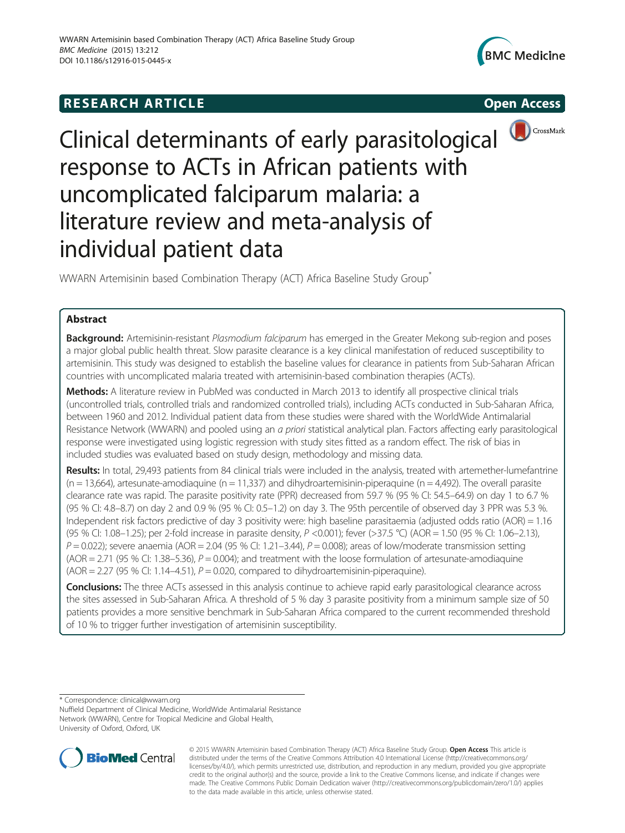

## **RESEARCH ARTICLE Example 2018 12:00 THE OPEN ACCESS**





Clinical determinants of early parasitological response to ACTs in African patients with uncomplicated falciparum malaria: a literature review and meta-analysis of individual patient data

WWARN Artemisinin based Combination Therapy (ACT) Africa Baseline Study Group<sup>\*</sup>

## Abstract

Background: Artemisinin-resistant Plasmodium falciparum has emerged in the Greater Mekong sub-region and poses a major global public health threat. Slow parasite clearance is a key clinical manifestation of reduced susceptibility to artemisinin. This study was designed to establish the baseline values for clearance in patients from Sub-Saharan African countries with uncomplicated malaria treated with artemisinin-based combination therapies (ACTs).

Methods: A literature review in PubMed was conducted in March 2013 to identify all prospective clinical trials (uncontrolled trials, controlled trials and randomized controlled trials), including ACTs conducted in Sub-Saharan Africa, between 1960 and 2012. Individual patient data from these studies were shared with the WorldWide Antimalarial Resistance Network (WWARN) and pooled using an a priori statistical analytical plan. Factors affecting early parasitological response were investigated using logistic regression with study sites fitted as a random effect. The risk of bias in included studies was evaluated based on study design, methodology and missing data.

Results: In total, 29,493 patients from 84 clinical trials were included in the analysis, treated with artemether-lumefantrine  $(n = 13,664)$ , artesunate-amodiaquine  $(n = 11,337)$  and dihydroartemisinin-piperaquine  $(n = 4,492)$ . The overall parasite clearance rate was rapid. The parasite positivity rate (PPR) decreased from 59.7 % (95 % CI: 54.5–64.9) on day 1 to 6.7 % (95 % CI: 4.8–8.7) on day 2 and 0.9 % (95 % CI: 0.5–1.2) on day 3. The 95th percentile of observed day 3 PPR was 5.3 %. Independent risk factors predictive of day 3 positivity were: high baseline parasitaemia (adjusted odds ratio (AOR) = 1.16 (95 % CI: 1.08–1.25); per 2-fold increase in parasite density, P <0.001); fever (>37.5 °C) (AOR = 1.50 (95 % CI: 1.06–2.13),  $P = 0.022$ ); severe anaemia (AOR = 2.04 (95 % CI: 1.21–3.44),  $P = 0.008$ ); areas of low/moderate transmission setting  $(AOR = 2.71 (95 % CI: 1.38–5.36), P = 0.004)$ ; and treatment with the loose formulation of artesunate-amodiaquine  $(AOR = 2.27 (95 % CI: 1.14–4.51), P = 0.020, compared to dihydroartemisinin-piperaquine).$ 

Conclusions: The three ACTs assessed in this analysis continue to achieve rapid early parasitological clearance across the sites assessed in Sub-Saharan Africa. A threshold of 5 % day 3 parasite positivity from a minimum sample size of 50 patients provides a more sensitive benchmark in Sub-Saharan Africa compared to the current recommended threshold of 10 % to trigger further investigation of artemisinin susceptibility.

\* Correspondence: [clinical@wwarn.org](mailto:clinical@wwarn.org)

Nuffield Department of Clinical Medicine, WorldWide Antimalarial Resistance Network (WWARN), Centre for Tropical Medicine and Global Health, University of Oxford, Oxford, UK



© 2015 WWARN Artemisinin based Combination Therapy (ACT) Africa Baseline Study Group. Open Access This article is distributed under the terms of the Creative Commons Attribution 4.0 International License ([http://creativecommons.org/](http://creativecommons.org/licenses/by/4.0/) [licenses/by/4.0/\)](http://creativecommons.org/licenses/by/4.0/), which permits unrestricted use, distribution, and reproduction in any medium, provided you give appropriate credit to the original author(s) and the source, provide a link to the Creative Commons license, and indicate if changes were made. The Creative Commons Public Domain Dedication waiver ([http://creativecommons.org/publicdomain/zero/1.0/\)](http://creativecommons.org/publicdomain/zero/1.0/) applies to the data made available in this article, unless otherwise stated.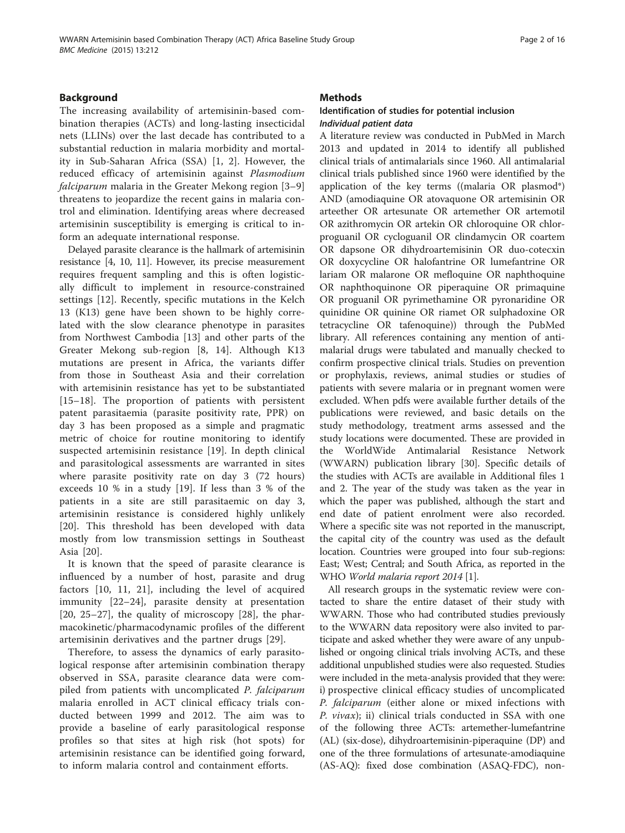#### Background

The increasing availability of artemisinin-based combination therapies (ACTs) and long-lasting insecticidal nets (LLINs) over the last decade has contributed to a substantial reduction in malaria morbidity and mortality in Sub-Saharan Africa (SSA) [[1, 2\]](#page-14-0). However, the reduced efficacy of artemisinin against Plasmodium falciparum malaria in the Greater Mekong region [\[3](#page-14-0)–[9](#page-14-0)] threatens to jeopardize the recent gains in malaria control and elimination. Identifying areas where decreased artemisinin susceptibility is emerging is critical to inform an adequate international response.

Delayed parasite clearance is the hallmark of artemisinin resistance [\[4, 10, 11\]](#page-14-0). However, its precise measurement requires frequent sampling and this is often logistically difficult to implement in resource-constrained settings [[12\]](#page-14-0). Recently, specific mutations in the Kelch 13 (K13) gene have been shown to be highly correlated with the slow clearance phenotype in parasites from Northwest Cambodia [[13](#page-14-0)] and other parts of the Greater Mekong sub-region [\[8](#page-14-0), [14](#page-14-0)]. Although K13 mutations are present in Africa, the variants differ from those in Southeast Asia and their correlation with artemisinin resistance has yet to be substantiated [[15](#page-14-0)–[18\]](#page-14-0). The proportion of patients with persistent patent parasitaemia (parasite positivity rate, PPR) on day 3 has been proposed as a simple and pragmatic metric of choice for routine monitoring to identify suspected artemisinin resistance [[19\]](#page-15-0). In depth clinical and parasitological assessments are warranted in sites where parasite positivity rate on day 3 (72 hours) exceeds 10 % in a study [[19\]](#page-15-0). If less than 3 % of the patients in a site are still parasitaemic on day 3, artemisinin resistance is considered highly unlikely [[20\]](#page-15-0). This threshold has been developed with data mostly from low transmission settings in Southeast Asia [[20](#page-15-0)].

It is known that the speed of parasite clearance is influenced by a number of host, parasite and drug factors [[10, 11](#page-14-0), [21](#page-15-0)], including the level of acquired immunity [[22](#page-15-0)–[24\]](#page-15-0), parasite density at presentation  $[20, 25-27]$  $[20, 25-27]$  $[20, 25-27]$  $[20, 25-27]$ , the quality of microscopy  $[28]$  $[28]$ , the pharmacokinetic/pharmacodynamic profiles of the different artemisinin derivatives and the partner drugs [[29\]](#page-15-0).

Therefore, to assess the dynamics of early parasitological response after artemisinin combination therapy observed in SSA, parasite clearance data were compiled from patients with uncomplicated *P. falciparum* malaria enrolled in ACT clinical efficacy trials conducted between 1999 and 2012. The aim was to provide a baseline of early parasitological response profiles so that sites at high risk (hot spots) for artemisinin resistance can be identified going forward, to inform malaria control and containment efforts.

## **Methods**

#### Identification of studies for potential inclusion Individual patient data

A literature review was conducted in PubMed in March 2013 and updated in 2014 to identify all published clinical trials of antimalarials since 1960. All antimalarial clinical trials published since 1960 were identified by the application of the key terms ((malaria OR plasmod\*) AND (amodiaquine OR atovaquone OR artemisinin OR arteether OR artesunate OR artemether OR artemotil OR azithromycin OR artekin OR chloroquine OR chlorproguanil OR cycloguanil OR clindamycin OR coartem OR dapsone OR dihydroartemisinin OR duo-cotecxin OR doxycycline OR halofantrine OR lumefantrine OR lariam OR malarone OR mefloquine OR naphthoquine OR naphthoquinone OR piperaquine OR primaquine OR proguanil OR pyrimethamine OR pyronaridine OR quinidine OR quinine OR riamet OR sulphadoxine OR tetracycline OR tafenoquine)) through the PubMed library. All references containing any mention of antimalarial drugs were tabulated and manually checked to confirm prospective clinical trials. Studies on prevention or prophylaxis, reviews, animal studies or studies of patients with severe malaria or in pregnant women were excluded. When pdfs were available further details of the publications were reviewed, and basic details on the study methodology, treatment arms assessed and the study locations were documented. These are provided in the WorldWide Antimalarial Resistance Network (WWARN) publication library [\[30](#page-15-0)]. Specific details of the studies with ACTs are available in Additional files [1](#page-12-0) and [2](#page-12-0). The year of the study was taken as the year in which the paper was published, although the start and end date of patient enrolment were also recorded. Where a specific site was not reported in the manuscript, the capital city of the country was used as the default location. Countries were grouped into four sub-regions: East; West; Central; and South Africa, as reported in the WHO World malaria report 2014 [[1](#page-14-0)].

All research groups in the systematic review were contacted to share the entire dataset of their study with WWARN. Those who had contributed studies previously to the WWARN data repository were also invited to participate and asked whether they were aware of any unpublished or ongoing clinical trials involving ACTs, and these additional unpublished studies were also requested. Studies were included in the meta-analysis provided that they were: i) prospective clinical efficacy studies of uncomplicated P. falciparum (either alone or mixed infections with P. vivax); ii) clinical trials conducted in SSA with one of the following three ACTs: artemether-lumefantrine (AL) (six-dose), dihydroartemisinin-piperaquine (DP) and one of the three formulations of artesunate-amodiaquine (AS-AQ): fixed dose combination (ASAQ-FDC), non-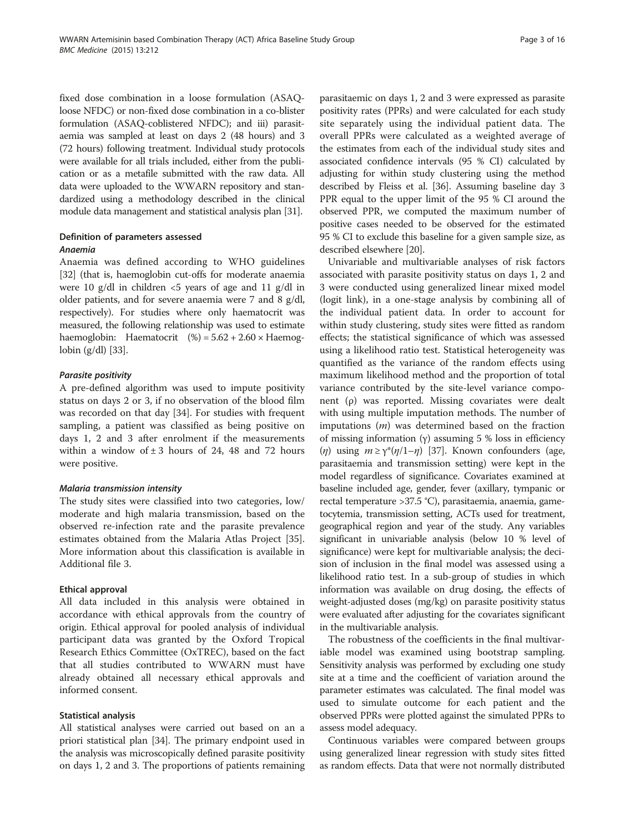fixed dose combination in a loose formulation (ASAQloose NFDC) or non-fixed dose combination in a co-blister formulation (ASAQ-coblistered NFDC); and iii) parasitaemia was sampled at least on days 2 (48 hours) and 3 (72 hours) following treatment. Individual study protocols were available for all trials included, either from the publication or as a metafile submitted with the raw data. All data were uploaded to the WWARN repository and standardized using a methodology described in the clinical module data management and statistical analysis plan [[31](#page-15-0)].

## Definition of parameters assessed Anaemia

Anaemia was defined according to WHO guidelines [[32](#page-15-0)] (that is, haemoglobin cut-offs for moderate anaemia) were 10  $g/dl$  in children  $\lt 5$  years of age and 11  $g/dl$  in older patients, and for severe anaemia were 7 and 8 g/dl, respectively). For studies where only haematocrit was measured, the following relationship was used to estimate haemoglobin: Haematocrit  $(\%) = 5.62 + 2.60 \times \text{Haemog}$ lobin (g/dl) [\[33\]](#page-15-0).

## Parasite positivity

A pre-defined algorithm was used to impute positivity status on days 2 or 3, if no observation of the blood film was recorded on that day [[34\]](#page-15-0). For studies with frequent sampling, a patient was classified as being positive on days 1, 2 and 3 after enrolment if the measurements within a window of  $\pm 3$  hours of 24, 48 and 72 hours were positive.

## Malaria transmission intensity

The study sites were classified into two categories, low/ moderate and high malaria transmission, based on the observed re-infection rate and the parasite prevalence estimates obtained from the Malaria Atlas Project [\[35](#page-15-0)]. More information about this classification is available in Additional file [3.](#page-12-0)

## Ethical approval

All data included in this analysis were obtained in accordance with ethical approvals from the country of origin. Ethical approval for pooled analysis of individual participant data was granted by the Oxford Tropical Research Ethics Committee (OxTREC), based on the fact that all studies contributed to WWARN must have already obtained all necessary ethical approvals and informed consent.

## Statistical analysis

All statistical analyses were carried out based on an a priori statistical plan [[34](#page-15-0)]. The primary endpoint used in the analysis was microscopically defined parasite positivity on days 1, 2 and 3. The proportions of patients remaining

parasitaemic on days 1, 2 and 3 were expressed as parasite positivity rates (PPRs) and were calculated for each study site separately using the individual patient data. The overall PPRs were calculated as a weighted average of the estimates from each of the individual study sites and associated confidence intervals (95 % CI) calculated by adjusting for within study clustering using the method described by Fleiss et al. [\[36\]](#page-15-0). Assuming baseline day 3 PPR equal to the upper limit of the 95 % CI around the observed PPR, we computed the maximum number of positive cases needed to be observed for the estimated 95 % CI to exclude this baseline for a given sample size, as described elsewhere [\[20\]](#page-15-0).

Univariable and multivariable analyses of risk factors associated with parasite positivity status on days 1, 2 and 3 were conducted using generalized linear mixed model (logit link), in a one-stage analysis by combining all of the individual patient data. In order to account for within study clustering, study sites were fitted as random effects; the statistical significance of which was assessed using a likelihood ratio test. Statistical heterogeneity was quantified as the variance of the random effects using maximum likelihood method and the proportion of total variance contributed by the site-level variance component (ρ) was reported. Missing covariates were dealt with using multiple imputation methods. The number of imputations (m) was determined based on the fraction of missing information (γ) assuming 5 % loss in efficiency (η) using  $m \ge \gamma^*(\eta/1-\eta)$  [\[37\]](#page-15-0). Known confounders (age, parasitaemia and transmission setting) were kept in the model regardless of significance. Covariates examined at baseline included age, gender, fever (axillary, tympanic or rectal temperature >37.5 °C), parasitaemia, anaemia, gametocytemia, transmission setting, ACTs used for treatment, geographical region and year of the study. Any variables significant in univariable analysis (below 10 % level of significance) were kept for multivariable analysis; the decision of inclusion in the final model was assessed using a likelihood ratio test. In a sub-group of studies in which information was available on drug dosing, the effects of weight-adjusted doses (mg/kg) on parasite positivity status were evaluated after adjusting for the covariates significant in the multivariable analysis.

The robustness of the coefficients in the final multivariable model was examined using bootstrap sampling. Sensitivity analysis was performed by excluding one study site at a time and the coefficient of variation around the parameter estimates was calculated. The final model was used to simulate outcome for each patient and the observed PPRs were plotted against the simulated PPRs to assess model adequacy.

Continuous variables were compared between groups using generalized linear regression with study sites fitted as random effects. Data that were not normally distributed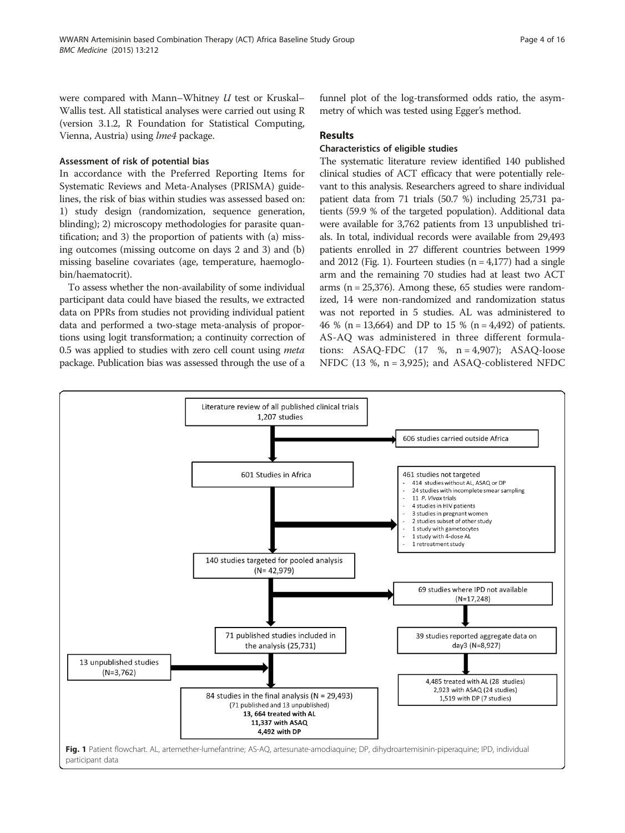were compared with Mann–Whitney U test or Kruskal– Wallis test. All statistical analyses were carried out using R (version 3.1.2, R Foundation for Statistical Computing, Vienna, Austria) using lme4 package.

#### Assessment of risk of potential bias

In accordance with the Preferred Reporting Items for Systematic Reviews and Meta-Analyses (PRISMA) guidelines, the risk of bias within studies was assessed based on: 1) study design (randomization, sequence generation, blinding); 2) microscopy methodologies for parasite quantification; and 3) the proportion of patients with (a) missing outcomes (missing outcome on days 2 and 3) and (b) missing baseline covariates (age, temperature, haemoglobin/haematocrit).

To assess whether the non-availability of some individual participant data could have biased the results, we extracted data on PPRs from studies not providing individual patient data and performed a two-stage meta-analysis of proportions using logit transformation; a continuity correction of 0.5 was applied to studies with zero cell count using *meta* package. Publication bias was assessed through the use of a funnel plot of the log-transformed odds ratio, the asymmetry of which was tested using Egger's method.

## Results

## Characteristics of eligible studies

The systematic literature review identified 140 published clinical studies of ACT efficacy that were potentially relevant to this analysis. Researchers agreed to share individual patient data from 71 trials (50.7 %) including 25,731 patients (59.9 % of the targeted population). Additional data were available for 3,762 patients from 13 unpublished trials. In total, individual records were available from 29,493 patients enrolled in 27 different countries between 1999 and 2012 (Fig. 1). Fourteen studies ( $n = 4,177$ ) had a single arm and the remaining 70 studies had at least two ACT arms ( $n = 25,376$ ). Among these, 65 studies were randomized, 14 were non-randomized and randomization status was not reported in 5 studies. AL was administered to 46 % (n = 13,664) and DP to 15 % (n = 4,492) of patients. AS-AQ was administered in three different formulations: ASAQ-FDC  $(17 \% , n = 4,907)$ ; ASAQ-loose NFDC (13 %, n = 3,925); and ASAQ-coblistered NFDC

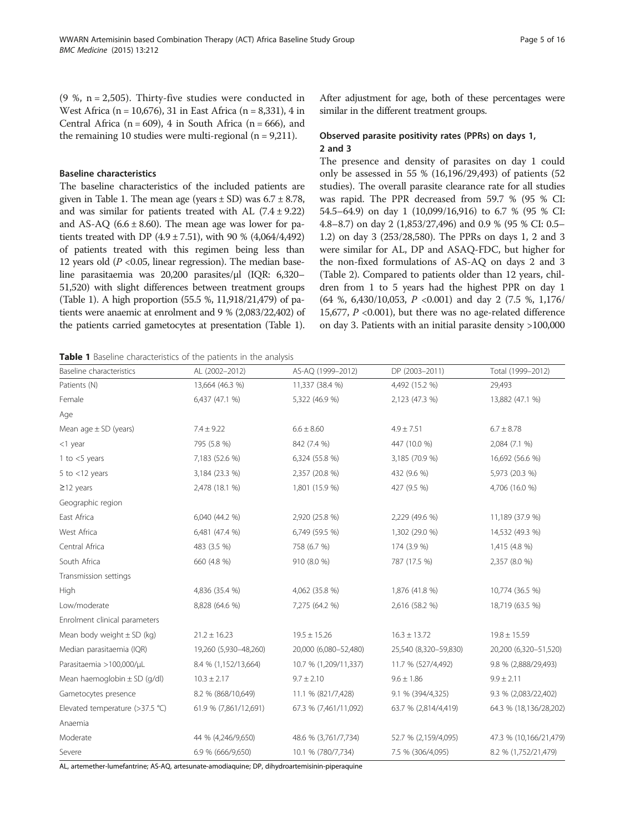(9 %,  $n = 2,505$ ). Thirty-five studies were conducted in West Africa (n = 10,676), 31 in East Africa (n = 8,331), 4 in Central Africa ( $n = 609$ ), 4 in South Africa ( $n = 666$ ), and the remaining 10 studies were multi-regional  $(n = 9,211)$ .

#### Baseline characteristics

The baseline characteristics of the included patients are given in Table 1. The mean age (years  $\pm$  SD) was 6.7  $\pm$  8.78, and was similar for patients treated with AL  $(7.4 \pm 9.22)$ and AS-AQ  $(6.6 \pm 8.60)$ . The mean age was lower for patients treated with DP  $(4.9 \pm 7.51)$ , with 90 %  $(4.064/4.492)$ of patients treated with this regimen being less than 12 years old ( $P < 0.05$ , linear regression). The median baseline parasitaemia was 20,200 parasites/μl (IQR: 6,320– 51,520) with slight differences between treatment groups (Table 1). A high proportion (55.5 %, 11,918/21,479) of patients were anaemic at enrolment and 9 % (2,083/22,402) of the patients carried gametocytes at presentation (Table 1). After adjustment for age, both of these percentages were similar in the different treatment groups.

## Observed parasite positivity rates (PPRs) on days 1, 2 and 3

The presence and density of parasites on day 1 could only be assessed in 55 % (16,196/29,493) of patients (52 studies). The overall parasite clearance rate for all studies was rapid. The PPR decreased from 59.7 % (95 % CI: 54.5–64.9) on day 1 (10,099/16,916) to 6.7 % (95 % CI: 4.8–8.7) on day 2 (1,853/27,496) and 0.9 % (95 % CI: 0.5– 1.2) on day 3 (253/28,580). The PPRs on days 1, 2 and 3 were similar for AL, DP and ASAQ-FDC, but higher for the non-fixed formulations of AS-AQ on days 2 and 3 (Table [2\)](#page-5-0). Compared to patients older than 12 years, children from 1 to 5 years had the highest PPR on day 1 (64 %, 6,430/10,053, P <0.001) and day 2 (7.5 %, 1,176/ 15,677, P <0.001), but there was no age-related difference on day 3. Patients with an initial parasite density >100,000

Table 1 Baseline characteristics of the patients in the analysis

| Baseline characteristics         | AL (2002-2012)        | AS-AQ (1999-2012)     | DP (2003-2011)        | Total (1999-2012)      |
|----------------------------------|-----------------------|-----------------------|-----------------------|------------------------|
| Patients (N)                     | 13,664 (46.3 %)       | 11,337 (38.4 %)       | 4,492 (15.2 %)        | 29,493                 |
| Female                           | 6,437 (47.1 %)        | 5,322 (46.9 %)        | 2,123 (47.3 %)        | 13,882 (47.1 %)        |
| Age                              |                       |                       |                       |                        |
| Mean age $\pm$ SD (years)        | $7.4 \pm 9.22$        | $6.6 \pm 8.60$        | $4.9 \pm 7.51$        | $6.7 \pm 8.78$         |
| $<$ 1 year                       | 795 (5.8 %)           | 842 (7.4 %)           | 447 (10.0 %)          | 2,084 (7.1 %)          |
| 1 to $<$ 5 years                 | 7,183 (52.6 %)        | 6,324 (55.8 %)        | 3,185 (70.9 %)        | 16,692 (56.6 %)        |
| 5 to $<$ 12 years                | 3,184 (23.3 %)        | 2,357 (20.8 %)        | 432 (9.6 %)           | 5,973 (20.3 %)         |
| $\geq$ 12 years                  | 2,478 (18.1 %)        | 1,801 (15.9 %)        | 427 (9.5 %)           | 4,706 (16.0 %)         |
| Geographic region                |                       |                       |                       |                        |
| East Africa                      | 6,040 (44.2 %)        | 2,920 (25.8 %)        | 2,229 (49.6 %)        | 11,189 (37.9 %)        |
| West Africa                      | 6,481 (47.4 %)        | 6,749 (59.5 %)        | 1,302 (29.0 %)        | 14,532 (49.3 %)        |
| Central Africa                   | 483 (3.5 %)           | 758 (6.7 %)           | 174 (3.9 %)           | 1,415 (4.8 %)          |
| South Africa                     | 660 (4.8 %)           | 910 (8.0 %)           | 787 (17.5 %)          | 2,357 (8.0 %)          |
| Transmission settings            |                       |                       |                       |                        |
| High                             | 4,836 (35.4 %)        | 4,062 (35.8 %)        | 1,876 (41.8 %)        | 10,774 (36.5 %)        |
| Low/moderate                     | 8,828 (64.6 %)        | 7,275 (64.2 %)        | 2,616 (58.2 %)        | 18,719 (63.5 %)        |
| Enrolment clinical parameters    |                       |                       |                       |                        |
| Mean body weight $\pm$ SD (kg)   | $21.2 \pm 16.23$      | $19.5 \pm 15.26$      | $16.3 \pm 13.72$      | $19.8 \pm 15.59$       |
| Median parasitaemia (IQR)        | 19,260 (5,930-48,260) | 20,000 (6,080-52,480) | 25,540 (8,320-59,830) | 20,200 (6,320-51,520)  |
| Parasitaemia >100,000/µL         | 8.4 % (1,152/13,664)  | 10.7 % (1,209/11,337) | 11.7 % (527/4,492)    | 9.8 % (2,888/29,493)   |
| Mean haemoglobin $\pm$ SD (g/dl) | $10.3 \pm 2.17$       | $9.7 \pm 2.10$        | $9.6 \pm 1.86$        | $9.9 \pm 2.11$         |
| Gametocytes presence             | 8.2 % (868/10,649)    | 11.1 % (821/7,428)    | 9.1 % (394/4,325)     | 9.3 % (2,083/22,402)   |
| Elevated temperature (>37.5 °C)  | 61.9 % (7,861/12,691) | 67.3 % (7,461/11,092) | 63.7 % (2,814/4,419)  | 64.3 % (18,136/28,202) |
| Anaemia                          |                       |                       |                       |                        |
| Moderate                         | 44 % (4,246/9,650)    | 48.6 % (3,761/7,734)  | 52.7 % (2,159/4,095)  | 47.3 % (10,166/21,479) |
| Severe                           | 6.9 % (666/9,650)     | 10.1 % (780/7,734)    | 7.5 % (306/4,095)     | 8.2 % (1,752/21,479)   |

AL, artemether-lumefantrine; AS-AQ, artesunate-amodiaquine; DP, dihydroartemisinin-piperaquine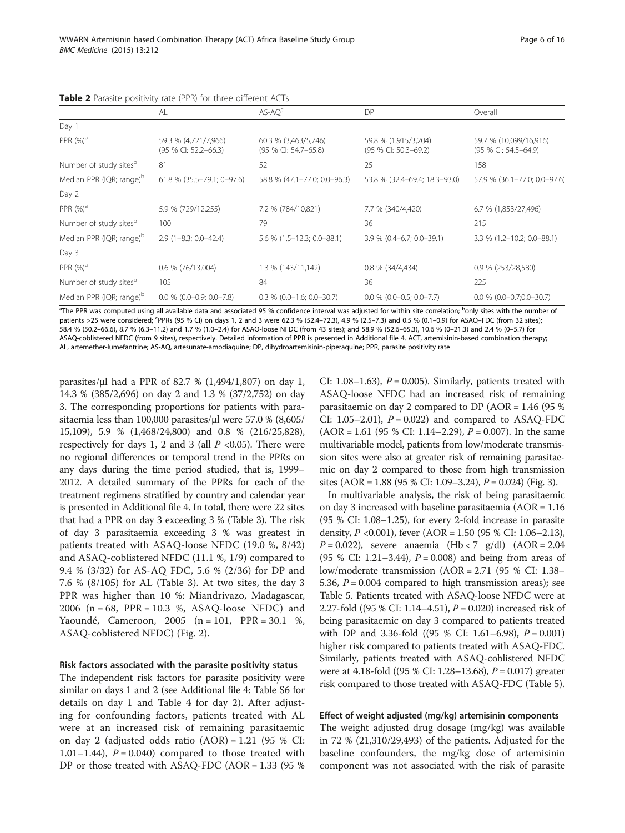|                                      | AL                                           | $AS-AOc$                                     | DP                                           | Overall                                        |
|--------------------------------------|----------------------------------------------|----------------------------------------------|----------------------------------------------|------------------------------------------------|
| Day 1                                |                                              |                                              |                                              |                                                |
| PPR $(%)^a$                          | 59.3 % (4,721/7,966)<br>(95 % CI: 52.2-66.3) | 60.3 % (3,463/5,746)<br>(95 % CI: 54.7-65.8) | 59.8 % (1,915/3,204)<br>(95 % CI: 50.3-69.2) | 59.7 % (10,099/16,916)<br>(95 % CI: 54.5-64.9) |
| Number of study sites <sup>b</sup>   | 81                                           | 52                                           | 25                                           | 158                                            |
| Median PPR (IQR; range) <sup>b</sup> | $61.8\%$ (35.5-79.1; 0-97.6)                 | 58.8 % (47.1-77.0; 0.0-96.3)                 | 53.8 % (32.4-69.4; 18.3-93.0)                | 57.9 % (36.1-77.0; 0.0-97.6)                   |
| Day 2                                |                                              |                                              |                                              |                                                |
| PPR $(%)^a$                          | 5.9 % (729/12,255)                           | 7.2 % (784/10,821)                           | 7.7 % (340/4,420)                            | 6.7 % (1,853/27,496)                           |
| Number of study sitesb               | 100                                          | 79                                           | 36                                           | 215                                            |
| Median PPR (IQR; range) <sup>b</sup> | $2.9$ (1-8.3; 0.0-42.4)                      | $5.6\%$ (1.5-12.3; 0.0-88.1)                 | $3.9\%$ (0.4-6.7; 0.0-39.1)                  | $3.3\%$ (1.2-10.2; 0.0-88.1)                   |
| Day 3                                |                                              |                                              |                                              |                                                |
| PPR $(%)^a$                          | 0.6 % (76/13,004)                            | 1.3 % (143/11,142)                           | $0.8 \%$ (34/4,434)                          | 0.9 % (253/28,580)                             |
| Number of study sites <sup>b</sup>   | 105                                          | 84                                           | 36                                           | 225                                            |
| Median PPR (IQR; range) <sup>b</sup> | $0.0\%$ (0.0-0.9; 0.0-7.8)                   | $0.3\%$ (0.0-1.6; 0.0-30.7)                  | $0.0\%$ (0.0-0.5; 0.0-7.7)                   | $0.0\%$ (0.0-0.7;0.0-30.7)                     |

<span id="page-5-0"></span>Table 2 Parasite positivity rate (PPR) for three different ACTs

<sup>a</sup>The PPR was computed using all available data and associated 95 % confidence interval was adjusted for within site correlation; <sup>b</sup>only sites with the number of patients >25 were considered; <sup>c</sup>PPRs (95 % CI) on days 1, 2 and 3 were 62.3 % (52.4–72.3), 4.9 % (2.5–7.3) and 0.5 % (0.1–0.9) for ASAQ–FDC (from 32 sites), 58.4 % (50.2–66.6), 8.7 % (6.3–11.2) and 1.7 % (1.0–2.4) for ASAQ-loose NFDC (from 43 sites); and 58.9 % (52.6–65.3), 10.6 % (0–21.3) and 2.4 % (0–5.7) for ASAQ-coblistered NFDC (from 9 sites), respectively. Detailed information of PPR is presented in Additional file [4.](#page-12-0) ACT, artemisinin-based combination therapy; AL, artemether-lumefantrine; AS-AQ, artesunate-amodiaquine; DP, dihydroartemisinin-piperaquine; PPR, parasite positivity rate

parasites/μl had a PPR of 82.7 % (1,494/1,807) on day 1, 14.3 % (385/2,696) on day 2 and 1.3 % (37/2,752) on day 3. The corresponding proportions for patients with parasitaemia less than 100,000 parasites/μl were 57.0 % (8,605/ 15,109), 5.9 % (1,468/24,800) and 0.8 % (216/25,828), respectively for days 1, 2 and 3 (all  $P$  <0.05). There were no regional differences or temporal trend in the PPRs on any days during the time period studied, that is, 1999– 2012. A detailed summary of the PPRs for each of the treatment regimens stratified by country and calendar year is presented in Additional file [4.](#page-12-0) In total, there were 22 sites that had a PPR on day 3 exceeding 3 % (Table [3](#page-6-0)). The risk of day 3 parasitaemia exceeding 3 % was greatest in patients treated with ASAQ-loose NFDC (19.0 %, 8/42) and ASAQ-coblistered NFDC (11.1 %, 1/9) compared to 9.4 % (3/32) for AS-AQ FDC, 5.6 % (2/36) for DP and 7.6 % (8/105) for AL (Table [3\)](#page-6-0). At two sites, the day 3 PPR was higher than 10 %: Miandrivazo, Madagascar, 2006 (n = 68, PPR = 10.3 %, ASAQ-loose NFDC) and Yaoundé, Cameroon, 2005 (n = 101, PPR = 30.1 %, ASAQ-coblistered NFDC) (Fig. [2](#page-6-0)).

#### Risk factors associated with the parasite positivity status

The independent risk factors for parasite positivity were similar on days 1 and 2 (see Additional file [4:](#page-12-0) Table S6 for details on day 1 and Table [4](#page-7-0) for day 2). After adjusting for confounding factors, patients treated with AL were at an increased risk of remaining parasitaemic on day 2 (adjusted odds ratio  $(AOR) = 1.21$  (95 % CI: 1.01–1.44),  $P = 0.040$  compared to those treated with DP or those treated with ASAQ-FDC (AOR = 1.33 (95 % CI: 1.08–1.63),  $P = 0.005$ . Similarly, patients treated with ASAQ-loose NFDC had an increased risk of remaining parasitaemic on day 2 compared to DP (AOR = 1.46 (95 % CI: 1.05–2.01),  $P = 0.022$  and compared to ASAQ-FDC  $(AOR = 1.61 (95 % CI: 1.14–2.29), P = 0.007)$ . In the same multivariable model, patients from low/moderate transmission sites were also at greater risk of remaining parasitaemic on day 2 compared to those from high transmission sites  $(AOR = 1.88 (95 % CI: 1.09–3.24), P = 0.024 (Fig. 3).$  $(AOR = 1.88 (95 % CI: 1.09–3.24), P = 0.024 (Fig. 3).$  $(AOR = 1.88 (95 % CI: 1.09–3.24), P = 0.024 (Fig. 3).$ 

In multivariable analysis, the risk of being parasitaemic on day 3 increased with baseline parasitaemia (AOR = 1.16 (95 % CI: 1.08–1.25), for every 2-fold increase in parasite density,  $P < 0.001$ ), fever (AOR = 1.50 (95 % CI: 1.06–2.13),  $P = 0.022$ ), severe anaemia (Hb < 7 g/dl) (AOR = 2.04 (95 % CI: 1.21–3.44),  $P = 0.008$ ) and being from areas of low/moderate transmission (AOR = 2.71 (95 % CI: 1.38– 5.36,  $P = 0.004$  compared to high transmission areas); see Table [5](#page-9-0). Patients treated with ASAQ-loose NFDC were at 2.27-fold ((95 % CI: 1.14–4.51),  $P = 0.020$ ) increased risk of being parasitaemic on day 3 compared to patients treated with DP and 3.36-fold ((95 % CI: 1.61–6.98),  $P = 0.001$ ) higher risk compared to patients treated with ASAQ-FDC. Similarly, patients treated with ASAQ-coblistered NFDC were at 4.18-fold ((95 % CI: 1.28–13.68),  $P = 0.017$ ) greater risk compared to those treated with ASAQ-FDC (Table [5](#page-9-0)).

#### Effect of weight adjusted (mg/kg) artemisinin components

The weight adjusted drug dosage (mg/kg) was available in 72 % (21,310/29,493) of the patients. Adjusted for the baseline confounders, the mg/kg dose of artemisinin component was not associated with the risk of parasite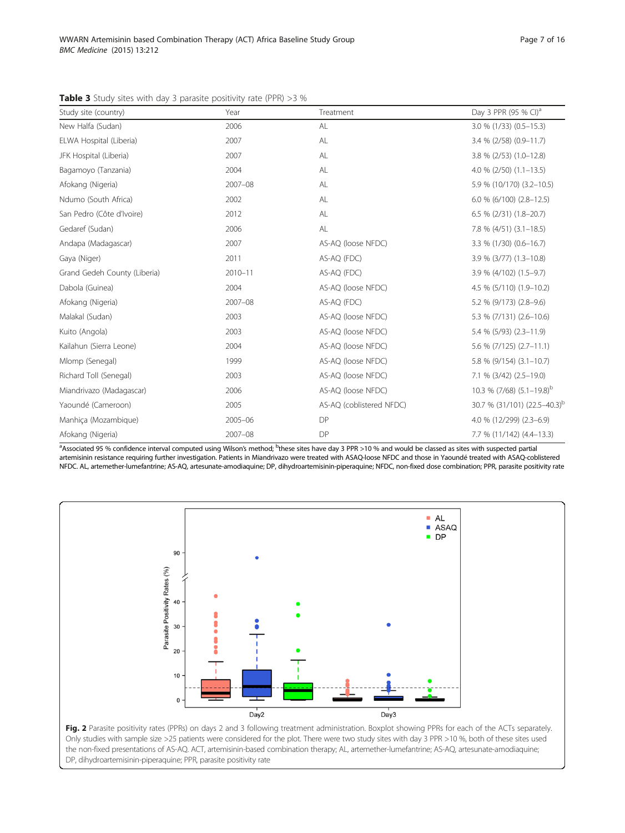<span id="page-6-0"></span>

|  |  |  |  |  |  |  | <b>Table 3</b> Study sites with day 3 parasite positivity rate (PPR) >3 % |  |  |  |  |  |
|--|--|--|--|--|--|--|---------------------------------------------------------------------------|--|--|--|--|--|
|--|--|--|--|--|--|--|---------------------------------------------------------------------------|--|--|--|--|--|

| Study site (country)         | Year        | Treatment                | Day 3 PPR (95 % CI) <sup>a</sup>         |
|------------------------------|-------------|--------------------------|------------------------------------------|
| New Halfa (Sudan)            | 2006        | AL                       | $3.0\%$ (1/33) (0.5-15.3)                |
| ELWA Hospital (Liberia)      | 2007        | AL                       | $3.4\%$ (2/58) (0.9-11.7)                |
| JFK Hospital (Liberia)       | 2007        | AL                       | $3.8\%$ (2/53) (1.0-12.8)                |
| Bagamoyo (Tanzania)          | 2004        | AL                       | $4.0\%$ (2/50) (1.1-13.5)                |
| Afokang (Nigeria)            | 2007-08     | AL                       | 5.9 % (10/170) (3.2-10.5)                |
| Ndumo (South Africa)         | 2002        | AL                       | $6.0\%$ (6/100) (2.8-12.5)               |
| San Pedro (Côte d'Ivoire)    | 2012        | AL                       | $6.5 \% (2/31) (1.8 - 20.7)$             |
| Gedaref (Sudan)              | 2006        | AL                       | $7.8\%$ (4/51) (3.1-18.5)                |
| Andapa (Madagascar)          | 2007        | AS-AQ (loose NFDC)       | 3.3 % (1/30) (0.6-16.7)                  |
| Gaya (Niger)                 | 2011        | AS-AQ (FDC)              | 3.9 % (3/77) (1.3-10.8)                  |
| Grand Gedeh County (Liberia) | $2010 - 11$ | AS-AQ (FDC)              | 3.9 % (4/102) (1.5-9.7)                  |
| Dabola (Guinea)              | 2004        | AS-AQ (loose NFDC)       | 4.5 % (5/110) (1.9-10.2)                 |
| Afokang (Nigeria)            | $2007 - 08$ | AS-AQ (FDC)              | 5.2 % (9/173) (2.8-9.6)                  |
| Malakal (Sudan)              | 2003        | AS-AQ (loose NFDC)       | 5.3 % (7/131) (2.6-10.6)                 |
| Kuito (Angola)               | 2003        | AS-AQ (loose NFDC)       | 5.4 % (5/93) (2.3-11.9)                  |
| Kailahun (Sierra Leone)      | 2004        | AS-AQ (loose NFDC)       | $5.6$ % $(7/125)$ $(2.7-11.1)$           |
| Mlomp (Senegal)              | 1999        | AS-AQ (loose NFDC)       | 5.8 % (9/154) (3.1-10.7)                 |
| Richard Toll (Senegal)       | 2003        | AS-AQ (loose NFDC)       | 7.1 % (3/42) (2.5-19.0)                  |
| Miandrivazo (Madagascar)     | 2006        | AS-AQ (loose NFDC)       | 10.3 % $(7/68)$ $(5.1-19.8)^{b}$         |
| Yaoundé (Cameroon)           | 2005        | AS-AQ (coblistered NFDC) | 30.7 % (31/101) (22.5–40.3) <sup>b</sup> |
| Manhiça (Mozambique)         | $2005 - 06$ | DP                       | 4.0 % (12/299) (2.3-6.9)                 |
| Afokang (Nigeria)            | 2007-08     | DP                       | 7.7 % (11/142) (4.4-13.3)                |

<sup>a</sup>Associated 95 % confidence interval computed using Wilson's method; <sup>b</sup>these sites have day 3 PPR >10 % and would be classed as sites with suspected partial artemisinin resistance requiring further investigation. Patients in Miandrivazo were treated with ASAQ-loose NFDC and those in Yaoundé treated with ASAQ-coblistered NFDC. AL, artemether-lumefantrine; AS-AQ, artesunate-amodiaquine; DP, dihydroartemisinin-piperaquine; NFDC, non-fixed dose combination; PPR, parasite positivity rate



Only studies with sample size >25 patients were considered for the plot. There were two study sites with day 3 PPR >10 %, both of these sites used the non-fixed presentations of AS-AQ. ACT, artemisinin-based combination therapy; AL, artemether-lumefantrine; AS-AQ, artesunate-amodiaquine; DP, dihydroartemisinin-piperaquine; PPR, parasite positivity rate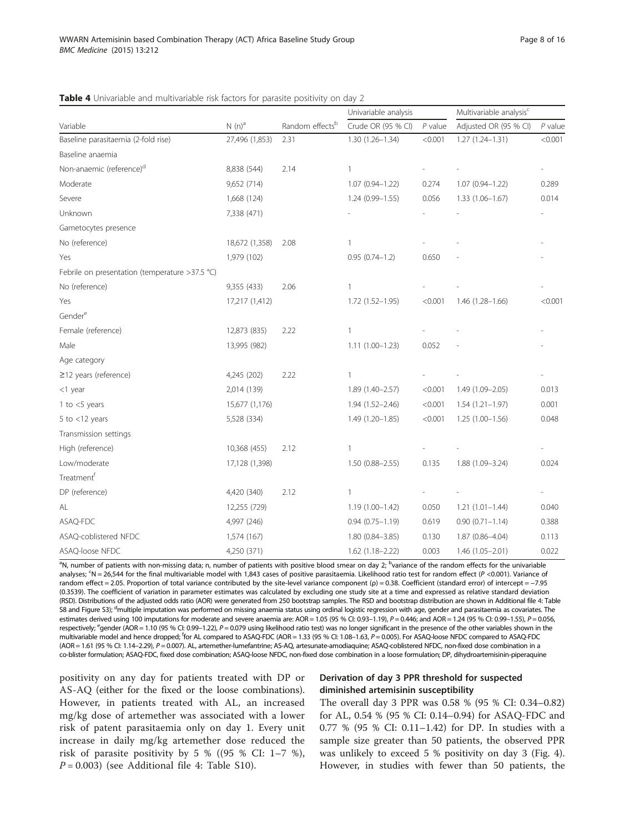#### <span id="page-7-0"></span>Table 4 Univariable and multivariable risk factors for parasite positivity on day 2

|                                                |                |                             | Univariable analysis |           | Multivariable analysis <sup>c</sup> |           |
|------------------------------------------------|----------------|-----------------------------|----------------------|-----------|-------------------------------------|-----------|
| Variable                                       | $N(n)^{a}$     | Random effects <sup>b</sup> | Crude OR (95 % CI)   | $P$ value | Adjusted OR (95 % CI)               | $P$ value |
| Baseline parasitaemia (2-fold rise)            | 27,496 (1,853) | 2.31                        | $1.30(1.26 - 1.34)$  | < 0.001   | $1.27(1.24 - 1.31)$                 | < 0.001   |
| Baseline anaemia                               |                |                             |                      |           |                                     |           |
| Non-anaemic (reference) <sup>d</sup>           | 8,838 (544)    | 2.14                        | 1                    |           |                                     |           |
| Moderate                                       | 9,652 (714)    |                             | $1.07(0.94 - 1.22)$  | 0.274     | $1.07(0.94 - 1.22)$                 | 0.289     |
| Severe                                         | 1,668 (124)    |                             | $1.24(0.99 - 1.55)$  | 0.056     | $1.33(1.06 - 1.67)$                 | 0.014     |
| Unknown                                        | 7,338 (471)    |                             |                      |           |                                     |           |
| Gametocytes presence                           |                |                             |                      |           |                                     |           |
| No (reference)                                 | 18,672 (1,358) | 2.08                        | 1                    |           |                                     |           |
| Yes                                            | 1,979 (102)    |                             | $0.95(0.74 - 1.2)$   | 0.650     |                                     |           |
| Febrile on presentation (temperature >37.5 °C) |                |                             |                      |           |                                     |           |
| No (reference)                                 | 9,355 (433)    | 2.06                        | 1                    |           |                                     |           |
| Yes                                            | 17,217 (1,412) |                             | $1.72(1.52 - 1.95)$  | < 0.001   | $1.46(1.28 - 1.66)$                 | < 0.001   |
| Gender <sup>e</sup>                            |                |                             |                      |           |                                     |           |
| Female (reference)                             | 12,873 (835)   | 2.22                        | $\mathbf{1}$         |           |                                     |           |
| Male                                           | 13,995 (982)   |                             | $1.11(1.00-1.23)$    | 0.052     |                                     |           |
| Age category                                   |                |                             |                      |           |                                     |           |
| ≥12 years (reference)                          | 4,245 (202)    | 2.22                        | 1                    |           |                                     |           |
| $<$ 1 year                                     | 2,014 (139)    |                             | 1.89 (1.40-2.57)     | < 0.001   | 1.49 (1.09-2.05)                    | 0.013     |
| 1 to $<$ 5 years                               | 15,677 (1,176) |                             | $1.94(1.52 - 2.46)$  | < 0.001   | $1.54(1.21 - 1.97)$                 | 0.001     |
| 5 to $<$ 12 years                              | 5,528 (334)    |                             | 1.49 (1.20-1.85)     | < 0.001   | $1.25(1.00-1.56)$                   | 0.048     |
| Transmission settings                          |                |                             |                      |           |                                     |           |
| High (reference)                               | 10,368 (455)   | 2.12                        | $\mathbf{1}$         |           |                                     |           |
| Low/moderate                                   | 17,128 (1,398) |                             | $1.50(0.88 - 2.55)$  | 0.135     | 1.88 (1.09-3.24)                    | 0.024     |
| Treatment <sup>f</sup>                         |                |                             |                      |           |                                     |           |
| DP (reference)                                 | 4,420 (340)    | 2.12                        | 1                    |           |                                     |           |
| AL                                             | 12,255 (729)   |                             | $1.19(1.00 - 1.42)$  | 0.050     | $1.21(1.01 - 1.44)$                 | 0.040     |
| ASAQ-FDC                                       | 4,997 (246)    |                             | $0.94(0.75 - 1.19)$  | 0.619     | $0.90(0.71 - 1.14)$                 | 0.388     |
| ASAQ-coblistered NFDC                          | 1,574 (167)    |                             | 1.80 (0.84-3.85)     | 0.130     | $1.87(0.86 - 4.04)$                 | 0.113     |
| ASAQ-loose NFDC                                | 4,250 (371)    |                             | $1.62(1.18 - 2.22)$  | 0.003     | $1.46(1.05 - 2.01)$                 | 0.022     |

<sup>a</sup>N, number of patients with non-missing data; n, number of patients with positive blood smear on day 2; <sup>b</sup>variance of the random effects for the univariable analyses; <sup>c</sup>N = 26,544 for the final multivariable model with 1,843 cases of positive parasitaemia. Likelihood ratio test for random effect (P <0.001). Variance of random effect = 2.05. Proportion of total variance contributed by the site-level variance component ( $\rho$ ) = 0.38. Coefficient (standard error) of intercept = -7.95 (0.3539). The coefficient of variation in parameter estimates was calculated by excluding one study site at a time and expressed as relative standard deviation (RSD). Distributions of the adjusted odds ratio (AOR) were generated from 250 bootstrap samples. The RSD and bootstrap distribution are shown in Additional file [4](#page-12-0): Table S8 and Figure S3); <sup>d</sup>multiple imputation was performed on missing anaemia status using ordinal logistic regression with age, gender and parasitaemia as covariates. The estimates derived using 100 imputations for moderate and severe anaemia are: AOR = 1.05 (95 % CI: 0.93-1.19), P = 0.446; and AOR = 1.24 (95 % CI: 0.99-1.55), P = 0.056, respectively; <sup>e</sup>gender (AOR = 1.10 (95 % CI: 0.99–1.22), P = 0.079 using likelihood ratio test) was no longer significant in the presence of the other variables shown in the multivariable model and hence dropped; <sup>f</sup>for AL compared to ASAQ-FDC (AOR = 1.33 (95 % CI: 1.08–1.63, P = 0.005). For ASAQ-loose NFDC compared to ASAQ-FDC (AOR = 1.61 (95 % CI: 1.14–2.29), P = 0.007). AL, artemether-lumefantrine; AS-AQ, artesunate-amodiaquine; ASAQ-coblistered NFDC, non-fixed dose combination in a co-blister formulation; ASAQ-FDC, fixed dose combination; ASAQ-loose NFDC, non-fixed dose combination in a loose formulation; DP, dihydroartemisinin-piperaquine

positivity on any day for patients treated with DP or AS-AQ (either for the fixed or the loose combinations). However, in patients treated with AL, an increased mg/kg dose of artemether was associated with a lower risk of patent parasitaemia only on day 1. Every unit increase in daily mg/kg artemether dose reduced the risk of parasite positivity by 5 % ((95 % CI:  $1-7$  %),  $P = 0.003$ ) (see Additional file [4](#page-12-0): Table S10).

## Derivation of day 3 PPR threshold for suspected diminished artemisinin susceptibility

The overall day 3 PPR was 0.58 % (95 % CI: 0.34–0.82) for AL, 0.54 % (95 % CI: 0.14–0.94) for ASAQ-FDC and 0.77 % (95 % CI: 0.11–1.42) for DP. In studies with a sample size greater than 50 patients, the observed PPR was unlikely to exceed 5 % positivity on day 3 (Fig. [4](#page-10-0)). However, in studies with fewer than 50 patients, the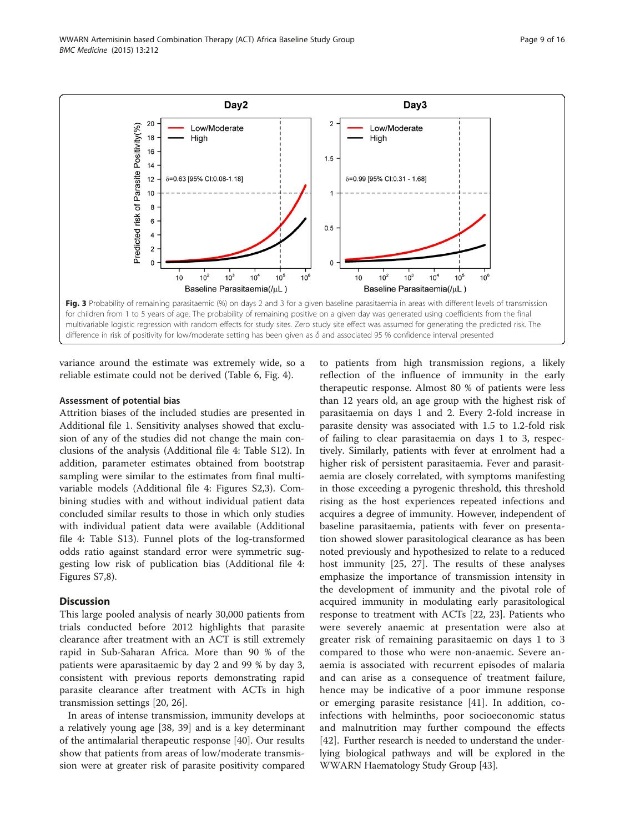variance around the estimate was extremely wide, so a reliable estimate could not be derived (Table [6](#page-10-0), Fig. [4\)](#page-10-0).

#### Assessment of potential bias

Attrition biases of the included studies are presented in Additional file [1](#page-12-0). Sensitivity analyses showed that exclusion of any of the studies did not change the main conclusions of the analysis (Additional file [4:](#page-12-0) Table S12). In addition, parameter estimates obtained from bootstrap sampling were similar to the estimates from final multivariable models (Additional file [4](#page-12-0): Figures S2,3). Combining studies with and without individual patient data concluded similar results to those in which only studies with individual patient data were available (Additional file [4:](#page-12-0) Table S13). Funnel plots of the log-transformed odds ratio against standard error were symmetric suggesting low risk of publication bias (Additional file [4](#page-12-0): Figures S7,8).

#### **Discussion**

This large pooled analysis of nearly 30,000 patients from trials conducted before 2012 highlights that parasite clearance after treatment with an ACT is still extremely rapid in Sub-Saharan Africa. More than 90 % of the patients were aparasitaemic by day 2 and 99 % by day 3, consistent with previous reports demonstrating rapid parasite clearance after treatment with ACTs in high transmission settings [[20](#page-15-0), [26](#page-15-0)].

In areas of intense transmission, immunity develops at a relatively young age [\[38, 39](#page-15-0)] and is a key determinant of the antimalarial therapeutic response [[40\]](#page-15-0). Our results show that patients from areas of low/moderate transmission were at greater risk of parasite positivity compared

to patients from high transmission regions, a likely reflection of the influence of immunity in the early therapeutic response. Almost 80 % of patients were less than 12 years old, an age group with the highest risk of parasitaemia on days 1 and 2. Every 2-fold increase in parasite density was associated with 1.5 to 1.2-fold risk of failing to clear parasitaemia on days 1 to 3, respectively. Similarly, patients with fever at enrolment had a higher risk of persistent parasitaemia. Fever and parasitaemia are closely correlated, with symptoms manifesting in those exceeding a pyrogenic threshold, this threshold rising as the host experiences repeated infections and acquires a degree of immunity. However, independent of baseline parasitaemia, patients with fever on presentation showed slower parasitological clearance as has been noted previously and hypothesized to relate to a reduced host immunity [\[25](#page-15-0), [27](#page-15-0)]. The results of these analyses emphasize the importance of transmission intensity in the development of immunity and the pivotal role of acquired immunity in modulating early parasitological response to treatment with ACTs [[22, 23](#page-15-0)]. Patients who were severely anaemic at presentation were also at greater risk of remaining parasitaemic on days 1 to 3 compared to those who were non-anaemic. Severe anaemia is associated with recurrent episodes of malaria and can arise as a consequence of treatment failure, hence may be indicative of a poor immune response or emerging parasite resistance [\[41](#page-15-0)]. In addition, coinfections with helminths, poor socioeconomic status and malnutrition may further compound the effects [[42\]](#page-15-0). Further research is needed to understand the underlying biological pathways and will be explored in the WWARN Haematology Study Group [[43](#page-15-0)].

<span id="page-8-0"></span>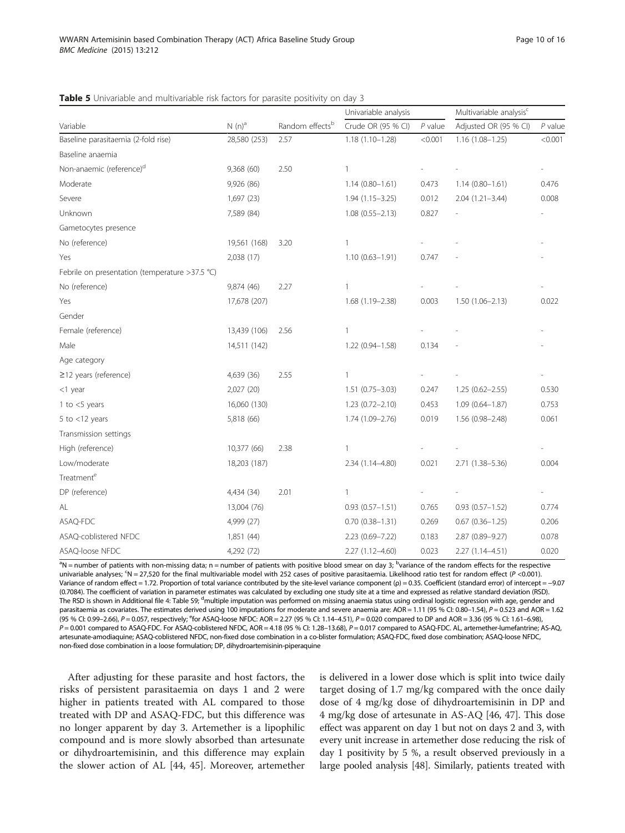#### <span id="page-9-0"></span>Table 5 Univariable and multivariable risk factors for parasite positivity on day 3

|                                                |              |                             | Univariable analysis |           | Multivariable analysis <sup>c</sup> |           |
|------------------------------------------------|--------------|-----------------------------|----------------------|-----------|-------------------------------------|-----------|
| Variable                                       | $N(n)^{a}$   | Random effects <sup>b</sup> | Crude OR (95 % CI)   | $P$ value | Adjusted OR (95 % CI)               | $P$ value |
| Baseline parasitaemia (2-fold rise)            | 28,580 (253) | 2.57                        | $1.18(1.10 - 1.28)$  | < 0.001   | $1.16(1.08 - 1.25)$                 | < 0.001   |
| Baseline anaemia                               |              |                             |                      |           |                                     |           |
| Non-anaemic (reference) <sup>d</sup>           | 9,368 (60)   | 2.50                        | 1                    |           |                                     |           |
| Moderate                                       | 9,926 (86)   |                             | $1.14(0.80 - 1.61)$  | 0.473     | $1.14(0.80 - 1.61)$                 | 0.476     |
| Severe                                         | 1,697 (23)   |                             | $1.94(1.15 - 3.25)$  | 0.012     | $2.04(1.21 - 3.44)$                 | 0.008     |
| Unknown                                        | 7,589 (84)   |                             | $1.08(0.55 - 2.13)$  | 0.827     |                                     |           |
| Gametocytes presence                           |              |                             |                      |           |                                     |           |
| No (reference)                                 | 19,561 (168) | 3.20                        | 1                    |           |                                     |           |
| Yes                                            | 2,038 (17)   |                             | $1.10(0.63 - 1.91)$  | 0.747     |                                     |           |
| Febrile on presentation (temperature >37.5 °C) |              |                             |                      |           |                                     |           |
| No (reference)                                 | 9,874 (46)   | 2.27                        | 1                    |           |                                     |           |
| Yes                                            | 17,678 (207) |                             | $1.68(1.19 - 2.38)$  | 0.003     | $1.50(1.06 - 2.13)$                 | 0.022     |
| Gender                                         |              |                             |                      |           |                                     |           |
| Female (reference)                             | 13,439 (106) | 2.56                        | 1                    |           |                                     |           |
| Male                                           | 14,511 (142) |                             | 1.22 (0.94-1.58)     | 0.134     |                                     |           |
| Age category                                   |              |                             |                      |           |                                     |           |
| $\ge$ 12 years (reference)                     | 4,639 (36)   | 2.55                        | 1                    |           |                                     |           |
| $<$ 1 year                                     | 2,027 (20)   |                             | $1.51(0.75 - 3.03)$  | 0.247     | $1.25(0.62 - 2.55)$                 | 0.530     |
| 1 to $<$ 5 years                               | 16,060 (130) |                             | $1.23(0.72 - 2.10)$  | 0.453     | $1.09(0.64 - 1.87)$                 | 0.753     |
| 5 to $<$ 12 years                              | 5,818 (66)   |                             | 1.74 (1.09-2.76)     | 0.019     | 1.56 (0.98-2.48)                    | 0.061     |
| Transmission settings                          |              |                             |                      |           |                                     |           |
| High (reference)                               | 10,377 (66)  | 2.38                        | 1                    |           |                                     |           |
| Low/moderate                                   | 18,203 (187) |                             | 2.34 (1.14-4.80)     | 0.021     | 2.71 (1.38-5.36)                    | 0.004     |
| Treatment <sup>e</sup>                         |              |                             |                      |           |                                     |           |
| DP (reference)                                 | 4,434 (34)   | 2.01                        | 1                    |           |                                     |           |
| AL                                             | 13,004 (76)  |                             | $0.93(0.57 - 1.51)$  | 0.765     | $0.93(0.57 - 1.52)$                 | 0.774     |
| ASAQ-FDC                                       | 4,999 (27)   |                             | $0.70(0.38 - 1.31)$  | 0.269     | $0.67(0.36 - 1.25)$                 | 0.206     |
| ASAQ-coblistered NFDC                          | 1,851 (44)   |                             | 2.23 (0.69-7.22)     | 0.183     | 2.87 (0.89-9.27)                    | 0.078     |
| ASAQ-loose NFDC                                | 4,292 (72)   |                             | 2.27 (1.12-4.60)     | 0.023     | $2.27(1.14 - 4.51)$                 | 0.020     |

<sup>a</sup>N = number of patients with non-missing data; n = number of patients with positive blood smear on day 3; <sup>b</sup>variance of the random effects for the respective univariable analyses; <sup>c</sup>N = 27,520 for the final multivariable model with 252 cases of positive parasitaemia. Likelihood ratio test for random effect (P <0.001). Variance of random effect = 1.72. Proportion of total variance contributed by the site-level variance component (ρ) = 0.35. Coefficient (standard error) of intercept = -9.07 (0.7084). The coefficient of variation in parameter estimates was calculated by excluding one study site at a time and expressed as relative standard deviation (RSD). The RSD is shown in Additional file [4](#page-12-0): Table S9; <sup>d</sup>multiple imputation was performed on missing anaemia status using ordinal logistic regression with age, gender and parasitaemia as covariates. The estimates derived using 100 imputations for moderate and severe anaemia are: AOR = 1.11 (95 % CI: 0.80-1.54), P = 0.523 and AOR = 1.62 (95 % CI: 0.99–2.66), P = 0.057, respectively; <sup>e</sup>for ASAQ-loose NFDC: AOR = 2.27 (95 % CI: 1.14–4.51), P = 0.020 compared to DP and AOR = 3.36 (95 % CI: 1.61–6.98), P = 0.001 compared to ASAQ-FDC. For ASAQ-coblistered NFDC, AOR = 4.18 (95 % CI: 1.28-13.68), P = 0.017 compared to ASAQ-FDC. AL, artemether-lumefantrine; AS-AQ, artesunate-amodiaquine; ASAQ-coblistered NFDC, non-fixed dose combination in a co-blister formulation; ASAQ-FDC, fixed dose combination; ASAQ-loose NFDC, non-fixed dose combination in a loose formulation; DP, dihydroartemisinin-piperaquine

After adjusting for these parasite and host factors, the risks of persistent parasitaemia on days 1 and 2 were higher in patients treated with AL compared to those treated with DP and ASAQ-FDC, but this difference was no longer apparent by day 3. Artemether is a lipophilic compound and is more slowly absorbed than artesunate or dihydroartemisinin, and this difference may explain the slower action of AL [\[44, 45\]](#page-15-0). Moreover, artemether

is delivered in a lower dose which is split into twice daily target dosing of 1.7 mg/kg compared with the once daily dose of 4 mg/kg dose of dihydroartemisinin in DP and 4 mg/kg dose of artesunate in AS-AQ [\[46, 47\]](#page-15-0). This dose effect was apparent on day 1 but not on days 2 and 3, with every unit increase in artemether dose reducing the risk of day 1 positivity by 5 %, a result observed previously in a large pooled analysis [\[48](#page-15-0)]. Similarly, patients treated with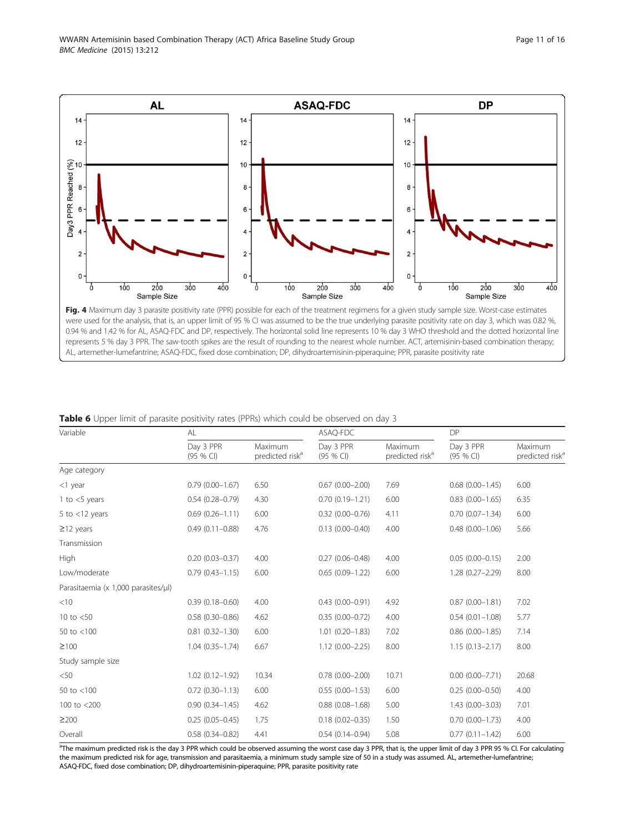<span id="page-10-0"></span>WWARN Artemisinin based Combination Therapy (ACT) Africa Baseline Study Group BMC Medicine (2015) 13:212



were used for the analysis, that is, an upper limit of 95 % CI was assumed to be the true underlying parasite positivity rate on day 3, which was 0.82 %, 0.94 % and 1.42 % for AL, ASAQ-FDC and DP, respectively. The horizontal solid line represents 10 % day 3 WHO threshold and the dotted horizontal line represents 5 % day 3 PPR. The saw-tooth spikes are the result of rounding to the nearest whole number. ACT, artemisinin-based combination therapy; AL, artemether-lumefantrine; ASAQ-FDC, fixed dose combination; DP, dihydroartemisinin-piperaquine; PPR, parasite positivity rate

| Variable                            | AL                    |                                        | ASAQ-FDC                |                                        | DP                      |                                        |  |
|-------------------------------------|-----------------------|----------------------------------------|-------------------------|----------------------------------------|-------------------------|----------------------------------------|--|
|                                     | Day 3 PPR<br>(95 % C) | Maximum<br>predicted risk <sup>a</sup> | Day 3 PPR<br>$(95%$ CI) | Maximum<br>predicted risk <sup>a</sup> | Day 3 PPR<br>$(95%$ CI) | Maximum<br>predicted risk <sup>a</sup> |  |
| Age category                        |                       |                                        |                         |                                        |                         |                                        |  |
| <1 year                             | $0.79(0.00 - 1.67)$   | 6.50                                   | $0.67(0.00 - 2.00)$     | 7.69                                   | $0.68(0.00 - 1.45)$     | 6.00                                   |  |
| 1 to $<$ 5 years                    | $0.54(0.28 - 0.79)$   | 4.30                                   | $0.70(0.19 - 1.21)$     | 6.00                                   | $0.83$ $(0.00 - 1.65)$  | 6.35                                   |  |
| 5 to $<$ 12 years                   | $0.69(0.26 - 1.11)$   | 6.00                                   | $0.32(0.00 - 0.76)$     | 4.11                                   | $0.70(0.07 - 1.34)$     | 6.00                                   |  |
| $\geq$ 12 years                     | $0.49(0.11 - 0.88)$   | 4.76                                   | $0.13(0.00 - 0.40)$     | 4.00                                   | $0.48(0.00 - 1.06)$     | 5.66                                   |  |
| Transmission                        |                       |                                        |                         |                                        |                         |                                        |  |
| High                                | $0.20(0.03 - 0.37)$   | 4.00                                   | $0.27(0.06 - 0.48)$     | 4.00                                   | $0.05(0.00 - 0.15)$     | 2.00                                   |  |
| Low/moderate                        | $0.79(0.43 - 1.15)$   | 6.00                                   | $0.65(0.09 - 1.22)$     | 6.00                                   | $1.28(0.27 - 2.29)$     | 8.00                                   |  |
| Parasitaemia (x 1,000 parasites/µl) |                       |                                        |                         |                                        |                         |                                        |  |
| < 10                                | $0.39(0.18 - 0.60)$   | 4.00                                   | $0.43(0.00 - 0.91)$     | 4.92                                   | $0.87(0.00 - 1.81)$     | 7.02                                   |  |
| 10 to $<$ 50                        | $0.58(0.30 - 0.86)$   | 4.62                                   | $0.35(0.00 - 0.72)$     | 4.00                                   | $0.54(0.01 - 1.08)$     | 5.77                                   |  |
| 50 to <100                          | $0.81(0.32 - 1.30)$   | 6.00                                   | $1.01(0.20 - 1.83)$     | 7.02                                   | $0.86(0.00 - 1.85)$     | 7.14                                   |  |
| $\geq 100$                          | $1.04(0.35 - 1.74)$   | 6.67                                   | $1.12(0.00 - 2.25)$     | 8.00                                   | $1.15(0.13 - 2.17)$     | 8.00                                   |  |
| Study sample size                   |                       |                                        |                         |                                        |                         |                                        |  |
| < 50                                | $1.02(0.12 - 1.92)$   | 10.34                                  | $0.78(0.00 - 2.00)$     | 10.71                                  | $0.00$ $(0.00 - 7.71)$  | 20.68                                  |  |
| 50 to <100                          | $0.72(0.30 - 1.13)$   | 6.00                                   | $0.55(0.00-1.53)$       | 6.00                                   | $0.25(0.00 - 0.50)$     | 4.00                                   |  |
| 100 to <200                         | $0.90(0.34 - 1.45)$   | 4.62                                   | $0.88(0.08 - 1.68)$     | 5.00                                   | $1.43(0.00 - 3.03)$     | 7.01                                   |  |
| $\geq$ 200                          | $0.25(0.05 - 0.45)$   | 1.75                                   | $0.18(0.02 - 0.35)$     | 1.50                                   | $0.70(0.00 - 1.73)$     | 4.00                                   |  |
| Overall                             | $0.58(0.34 - 0.82)$   | 4.41                                   | $0.54(0.14 - 0.94)$     | 5.08                                   | $0.77(0.11 - 1.42)$     | 6.00                                   |  |

#### Table 6 Upper limit of parasite positivity rates (PPRs) which could be observed on day 3

<sup>a</sup>The maximum predicted risk is the day 3 PPR which could be observed assuming the worst case day 3 PPR, that is, the upper limit of day 3 PPR 95 % CI. For calculating the maximum predicted risk for age, transmission and parasitaemia, a minimum study sample size of 50 in a study was assumed. AL, artemether-lumefantrine; ASAQ-FDC, fixed dose combination; DP, dihydroartemisinin-piperaquine; PPR, parasite positivity rate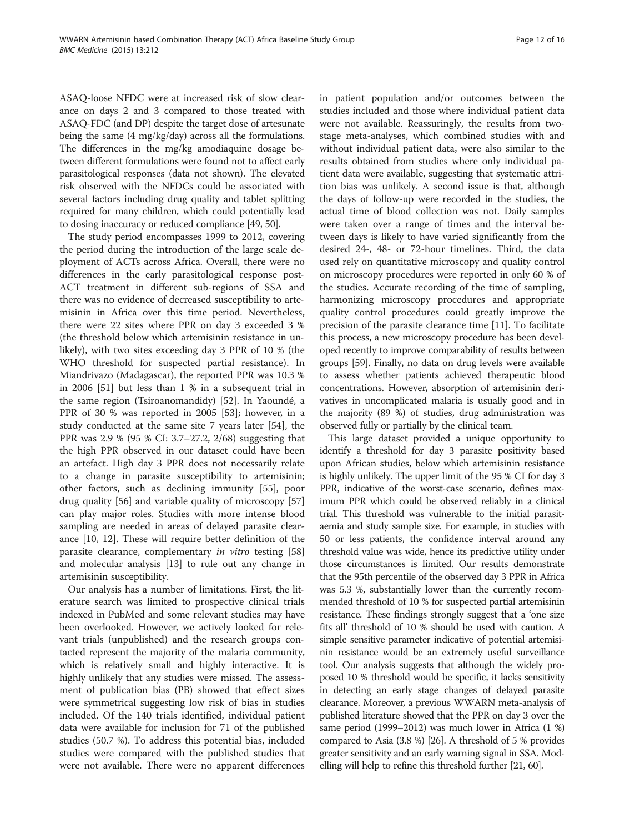ASAQ-loose NFDC were at increased risk of slow clearance on days 2 and 3 compared to those treated with ASAQ-FDC (and DP) despite the target dose of artesunate being the same (4 mg/kg/day) across all the formulations. The differences in the mg/kg amodiaquine dosage between different formulations were found not to affect early parasitological responses (data not shown). The elevated risk observed with the NFDCs could be associated with several factors including drug quality and tablet splitting required for many children, which could potentially lead to dosing inaccuracy or reduced compliance [\[49](#page-15-0), [50](#page-15-0)].

The study period encompasses 1999 to 2012, covering the period during the introduction of the large scale deployment of ACTs across Africa. Overall, there were no differences in the early parasitological response post-ACT treatment in different sub-regions of SSA and there was no evidence of decreased susceptibility to artemisinin in Africa over this time period. Nevertheless, there were 22 sites where PPR on day 3 exceeded 3 % (the threshold below which artemisinin resistance in unlikely), with two sites exceeding day 3 PPR of 10 % (the WHO threshold for suspected partial resistance). In Miandrivazo (Madagascar), the reported PPR was 10.3 % in 2006 [[51\]](#page-15-0) but less than 1 % in a subsequent trial in the same region (Tsiroanomandidy) [[52\]](#page-15-0). In Yaoundé, a PPR of 30 % was reported in 2005 [\[53\]](#page-15-0); however, in a study conducted at the same site 7 years later [[54](#page-15-0)], the PPR was 2.9 % (95 % CI: 3.7–27.2, 2/68) suggesting that the high PPR observed in our dataset could have been an artefact. High day 3 PPR does not necessarily relate to a change in parasite susceptibility to artemisinin; other factors, such as declining immunity [\[55](#page-15-0)], poor drug quality [[56\]](#page-15-0) and variable quality of microscopy [[57](#page-15-0)] can play major roles. Studies with more intense blood sampling are needed in areas of delayed parasite clearance [\[10, 12\]](#page-14-0). These will require better definition of the parasite clearance, complementary in vitro testing [[58](#page-15-0)] and molecular analysis [[13\]](#page-14-0) to rule out any change in artemisinin susceptibility.

Our analysis has a number of limitations. First, the literature search was limited to prospective clinical trials indexed in PubMed and some relevant studies may have been overlooked. However, we actively looked for relevant trials (unpublished) and the research groups contacted represent the majority of the malaria community, which is relatively small and highly interactive. It is highly unlikely that any studies were missed. The assessment of publication bias (PB) showed that effect sizes were symmetrical suggesting low risk of bias in studies included. Of the 140 trials identified, individual patient data were available for inclusion for 71 of the published studies (50.7 %). To address this potential bias, included studies were compared with the published studies that were not available. There were no apparent differences in patient population and/or outcomes between the studies included and those where individual patient data were not available. Reassuringly, the results from twostage meta-analyses, which combined studies with and without individual patient data, were also similar to the results obtained from studies where only individual patient data were available, suggesting that systematic attrition bias was unlikely. A second issue is that, although the days of follow-up were recorded in the studies, the actual time of blood collection was not. Daily samples were taken over a range of times and the interval between days is likely to have varied significantly from the desired 24-, 48- or 72-hour timelines. Third, the data used rely on quantitative microscopy and quality control on microscopy procedures were reported in only 60 % of the studies. Accurate recording of the time of sampling, harmonizing microscopy procedures and appropriate quality control procedures could greatly improve the precision of the parasite clearance time [[11](#page-14-0)]. To facilitate this process, a new microscopy procedure has been developed recently to improve comparability of results between groups [\[59\]](#page-15-0). Finally, no data on drug levels were available to assess whether patients achieved therapeutic blood concentrations. However, absorption of artemisinin derivatives in uncomplicated malaria is usually good and in the majority (89 %) of studies, drug administration was observed fully or partially by the clinical team.

This large dataset provided a unique opportunity to identify a threshold for day 3 parasite positivity based upon African studies, below which artemisinin resistance is highly unlikely. The upper limit of the 95 % CI for day 3 PPR, indicative of the worst-case scenario, defines maximum PPR which could be observed reliably in a clinical trial. This threshold was vulnerable to the initial parasitaemia and study sample size. For example, in studies with 50 or less patients, the confidence interval around any threshold value was wide, hence its predictive utility under those circumstances is limited. Our results demonstrate that the 95th percentile of the observed day 3 PPR in Africa was 5.3 %, substantially lower than the currently recommended threshold of 10 % for suspected partial artemisinin resistance. These findings strongly suggest that a 'one size fits all' threshold of 10 % should be used with caution. A simple sensitive parameter indicative of potential artemisinin resistance would be an extremely useful surveillance tool. Our analysis suggests that although the widely proposed 10 % threshold would be specific, it lacks sensitivity in detecting an early stage changes of delayed parasite clearance. Moreover, a previous WWARN meta-analysis of published literature showed that the PPR on day 3 over the same period (1999–2012) was much lower in Africa (1 %) compared to Asia (3.8 %) [[26](#page-15-0)]. A threshold of 5 % provides greater sensitivity and an early warning signal in SSA. Modelling will help to refine this threshold further [\[21, 60\]](#page-15-0).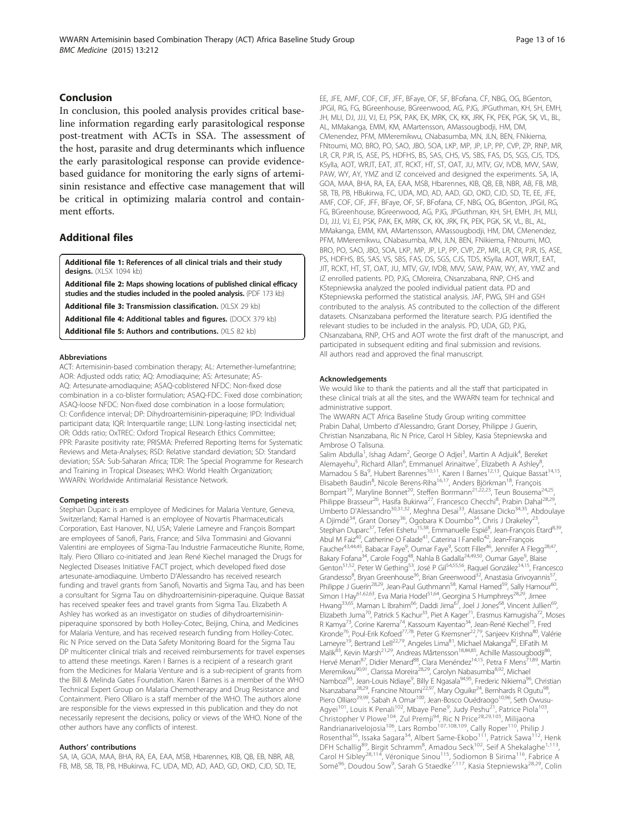## <span id="page-12-0"></span>Conclusion

In conclusion, this pooled analysis provides critical baseline information regarding early parasitological response post-treatment with ACTs in SSA. The assessment of the host, parasite and drug determinants which influence the early parasitological response can provide evidencebased guidance for monitoring the early signs of artemisinin resistance and effective case management that will be critical in optimizing malaria control and containment efforts.

## Additional files

[Additional file 1:](http://www.biomedcentral.com/content/supplementary/s12916-015-0445-x-s1.xlsx) References of all clinical trials and their study designs. (XLSX 1094 kb)

[Additional file 2:](http://www.biomedcentral.com/content/supplementary/s12916-015-0445-x-s2.pdf) Maps showing locations of published clinical efficacy studies and the studies included in the pooled analysis. (PDF 173 kb) [Additional file 3:](http://www.biomedcentral.com/content/supplementary/s12916-015-0445-x-s3.xlsx) Transmission classification. (XLSX 29 kb)

[Additional file 4:](http://www.biomedcentral.com/content/supplementary/s12916-015-0445-x-s4.docx) Additional tables and figures. (DOCX 379 kb)

[Additional file 5:](http://www.biomedcentral.com/content/supplementary/s12916-015-0445-x-s5.xls) Authors and contributions. (XLS 82 kb)

#### Abbreviations

ACT: Artemisinin-based combination therapy; AL: Artemether-lumefantrine; AOR: Adjusted odds ratio; AQ: Amodiaquine; AS: Artesunate; AS-AQ: Artesunate-amodiaquine; ASAQ-coblistered NFDC: Non-fixed dose combination in a co-blister formulation; ASAQ-FDC: Fixed dose combination; ASAQ-loose NFDC: Non-fixed dose combination in a loose formulation; CI: Confidence interval; DP: Dihydroartemisinin-piperaquine; IPD: Individual participant data; IQR: Interquartile range; LLIN: Long-lasting insecticidal net; OR: Odds ratio; OxTREC: Oxford Tropical Research Ethics Committee; PPR: Parasite positivity rate; PRISMA: Preferred Reporting Items for Systematic Reviews and Meta-Analyses; RSD: Relative standard deviation; SD: Standard deviation; SSA: Sub-Saharan Africa; TDR: The Special Programme for Research and Training in Tropical Diseases; WHO: World Health Organization; WWARN: Worldwide Antimalarial Resistance Network.

#### Competing interests

Stephan Duparc is an employee of Medicines for Malaria Venture, Geneva, Switzerland; Kamal Hamed is an employee of Novartis Pharmaceuticals Corporation, East Hanover, NJ, USA; Valerie Lameyre and François Bompart are employees of Sanofi, Paris, France; and Silva Tommasini and Giovanni Valentini are employees of Sigma-Tau Industrie Farmaceutiche Riunite, Rome, Italy. Piero Olliaro co-initiated and Jean René Kiechel managed the Drugs for Neglected Diseases Initiative FACT project, which developed fixed dose artesunate-amodiaquine. Umberto D'Alessandro has received research funding and travel grants from Sanofi, Novartis and Sigma Tau, and has been a consultant for Sigma Tau on dihydroartemisinin-piperaquine. Quique Bassat has received speaker fees and travel grants from Sigma Tau. Elizabeth A Ashley has worked as an investigator on studies of dihydroartemisininpiperaquine sponsored by both Holley-Cotec, Beijing, China, and Medicines for Malaria Venture, and has received research funding from Holley-Cotec. Ric N Price served on the Data Safety Monitoring Board for the Sigma Tau DP multicenter clinical trials and received reimbursements for travel expenses to attend these meetings. Karen I Barnes is a recipient of a research grant from the Medicines for Malaria Venture and is a sub-recipient of grants from the Bill & Melinda Gates Foundation. Karen I Barnes is a member of the WHO Technical Expert Group on Malaria Chemotherapy and Drug Resistance and Containment. Piero Olliaro is a staff member of the WHO. The authors alone are responsible for the views expressed in this publication and they do not necessarily represent the decisions, policy or views of the WHO. None of the other authors have any conflicts of interest.

#### Authors' contributions

SA, IA, GOA, MAA, BHA, RA, EA, EAA, MSB, Hbarennes, KIB, QB, EB, NBR, AB, FB, MB, SB, TB, PB, HBukirwa, FC, UDA, MD, AD, AAD, GD, OKD, CJD, SD, TE, EE, JFE, AMF, COF, CIF, JFF, BFaye, OF, SF, BFofana, CF, NBG, OG, BGenton, JPGil, RG, FG, BGreenhouse, BGreenwood, AG, PJG, JPGuthman, KH, SH, EMH, JH, MLI, DJ, JJJ, VJ, EJ, PSK, PAK, EK, MRK, CK, KK, JRK, FK, PEK, PGK, SK, VL, BL, AL, MMakanga, EMM, KM, AMartensson, AMassougbodji, HM, DM, CMenendez, PFM, MMeremikwu, CNabasumba, MN, JLN, BEN, FNikiema, FNtoumi, MO, BRO, PO, SAO, JBO, SOA, LKP, MP, JP, LP, PP, CVP, ZP, RNP, MR, LR, CR, PJR, IS, ASE, PS, HDFHS, BS, SAS, CHS, VS, SBS, FAS, DS, SGS, CJS, TDS, KSylla, AOT, WRJT, EAT, JIT, RCKT, HT, ST, OAT, JU, MTV, GV, IVDB, MW, SAW, PAW, WY, AY, YMZ and IZ conceived and designed the experiments. SA, IA, GOA, MAA, BHA, RA, EA, EAA, MSB, Hbarennes, KIB, QB, EB, NBR, AB, FB, MB, SB, TB, PB, HBukirwa, FC, UDA, MD, AD, AAD, GD, OKD, CJD, SD, TE, EE, JFE, AMF, COF, CIF, JFF, BFaye, OF, SF, BFofana, CF, NBG, OG, BGenton, JPGil, RG, FG, BGreenhouse, BGreenwood, AG, PJG, JPGuthman, KH, SH, EMH, JH, MLI, DJ, JJJ, VJ, EJ, PSK, PAK, EK, MRK, CK, KK, JRK, FK, PEK, PGK, SK, VL, BL, AL, MMakanga, EMM, KM, AMartensson, AMassougbodji, HM, DM, CMenendez, PFM, MMeremikwu, CNabasumba, MN, JLN, BEN, FNikiema, FNtoumi, MO, BRO, PO, SAO, JBO, SOA, LKP, MP, JP, LP, PP, CVP, ZP, MR, LR, CR, PJR, IS, ASE, PS, HDFHS, BS, SAS, VS, SBS, FAS, DS, SGS, CJS, TDS, KSylla, AOT, WRJT, EAT, JIT, RCKT, HT, ST, OAT, JU, MTV, GV, IVDB, MVV, SAW, PAW, WY, AY, YMZ and IZ enrolled patients. PD, PJG, CMoreira, CNsanzabana, RNP, CHS and KStepniewska analyzed the pooled individual patient data. PD and KStepniewska performed the statistical analysis. JAF, PWG, SIH and GSH contributed to the analysis. AS contributed to the collection of the different datasets. CNsanzabana performed the literature search. PJG identified the relevant studies to be included in the analysis. PD, UDA, GD, PJG, CNsanzabana, RNP, CHS and AOT wrote the first draft of the manuscript, and participated in subsequent editing and final submission and revisions. All authors read and approved the final manuscript.

#### Acknowledgements

We would like to thank the patients and all the staff that participated in these clinical trials at all the sites, and the WWARN team for technical and administrative support.

The WWARN ACT Africa Baseline Study Group writing committee Prabin Dahal, Umberto d'Alessandro, Grant Dorsey, Philippe J Guerin, Christian Nsanzabana, Ric N Price, Carol H Sibley, Kasia Stepniewska and Ambrose O Talisuna.

Salim Abdulla<sup>1</sup>, Ishag Adam<sup>2</sup>, George O Adjei<sup>3</sup>, Martin A Adjuik<sup>4</sup>, Bereket Alemayehu<sup>5</sup>, Richard Allan<sup>6</sup>, Emmanuel Arinaitwe<sup>7</sup>, Elizabeth A Ashley<sup>8</sup> , Mamadou S Ba<sup>9</sup>, Hubert Barennes<sup>10,11</sup>, Karen I Barnes<sup>12,13</sup>, Quique Bassat<sup>14,15</sup> Elisabeth Baudin<sup>8</sup>, Nicole Berens-Riha<sup>16,17</sup>, Anders Björkman<sup>18</sup>, François Bompart<sup>19</sup>, Maryline Bonnet<sup>20</sup>, Steffen Borrmann<sup>21,22,23</sup>, Teun Bousema<sup>24,25</sup>, Philippe Brasseur<sup>26</sup>, Hasifa Bukirwa<sup>27</sup>, Francesco Checchi<sup>8</sup>, Prabin Dahal<sup>28,29</sup> Umberto D'Alessandro<sup>30,31,32</sup>, Meghna Desai<sup>33</sup>, Alassane Dicko<sup>34,35</sup>, Abdoulaye A Djimdé<sup>34</sup>, Grant Dorsey<sup>36</sup>, Ogobara K Doumbo<sup>34</sup>, Chris J Drakeley<sup>23</sup> Stephan Duparc<sup>37</sup>, Teferi Eshetu<sup>15,38</sup>, Emmanuelle Espié<sup>8</sup>, Jean-François Etard<sup>8,39</sup> Abul M Faiz<sup>40</sup>, Catherine O Falade<sup>41</sup>, Caterina I Fanello<sup>42</sup>, Jean-François Faucher<sup>43,44,45</sup>, Babacar Faye<sup>9</sup>, Oumar Faye<sup>9</sup>, Scott Filler<sup>46</sup>, Jennifer A Flegg<sup>28,47</sup> Bakary Fofana<sup>34</sup>, Carole Fogg<sup>48</sup>, Nahla B Gadalla<sup>24,49,50</sup>, Oumar Gaye<sup>9</sup>, Blaise Genton<sup>51,52</sup>, Peter W Gething<sup>53</sup>, José P Gil<sup>54,55,56</sup>, Raquel González<sup>14,15</sup>, Francesco Grandesso<sup>8</sup>, Bryan Greenhouse<sup>36</sup>, Brian Greenwood<sup>32</sup>, Anastasia Grivoyannis<sup>57</sup> Philippe J Guerin<sup>28,29</sup>, Jean-Paul Guthmann<sup>58</sup>, Kamal Hamed<sup>59</sup>, Sally Hamour<sup>60</sup>, Simon I Hay<sup>61,62,63</sup>, Eva Maria Hodel<sup>51,64</sup>, Georgina S Humphreys<sup>28,29</sup>, Jimee Hwang<sup>33,65</sup>, Maman L Ibrahim<sup>66</sup>, Daddi Jima<sup>67</sup>, Joel J Jones<sup>68</sup>, Vincent Jullien<sup>69</sup> Elizabeth Juma<sup>70</sup>, Patrick S Kachur<sup>33</sup>, Piet A Kager<sup>71</sup>, Erasmus Kamugisha<sup>72</sup>, Moses R Kamya<sup>73</sup>, Corine Karema<sup>74</sup>, Kassoum Kayentao<sup>34</sup>, Jean-René Kiechel<sup>75</sup>, Fred Kironde<sup>76</sup>, Poul-Erik Kofoed<sup>77,78</sup>, Peter G Kremsner<sup>22,79</sup>, Sanjeev Krishna<sup>80</sup>, Valérie Lameyre<sup>19</sup>, Bertrand Lell<sup>22,79</sup>, Angeles Lima<sup>81</sup>, Michael Makanga<sup>82</sup>, ElFatih M Malik<sup>83</sup>, Kevin Marsh<sup>21,29</sup>, Andreas Mårtensson<sup>18,84,85</sup>, Achille Massougbodji<sup>86</sup> Hervé Menan<sup>87</sup>, Didier Menard<sup>88</sup>, Clara Menéndez<sup>14,15</sup>, Petra F Mens<sup>71,89</sup>, Martin Meremikwu<sup>90,91</sup>, Clarissa Moreira<sup>28,29</sup>, Carolyn Nabasumba<sup>8,92</sup>, Michael Nambozi<sup>93</sup>, Jean-Louis Ndiaye<sup>9</sup>, Billy E Ngasala<sup>94,95</sup>, Frederic Nikiema<sup>96</sup>, Christian Nsanzabana<sup>28,29</sup>, Francine Ntoumi<sup>22,97</sup>, Mary Oguike<sup>24</sup>, Bernhards R Ogutu<sup>98</sup>, Piero Olliaro<sup>29,99</sup>, Sabah A Omar<sup>100</sup>, Jean-Bosco Ouédraogo<sup>10,96</sup>, Seth Owusu-Agyei<sup>101</sup>, Louis K Penali<sup>102</sup>, Mbaye Pene<sup>9</sup>, Judy Peshu<sup>21</sup>, Patrice Piola<sup>103</sup>, Christopher V Plowe<sup>104</sup>, Zul Premji<sup>94</sup>, Ric N Price<sup>28,29,105</sup>, Milijaona Randrianarivelojosia<sup>106</sup>, Lars Rombo<sup>107,108,109</sup>, Cally Roper<sup>110</sup>, Philip J Rosenthal<sup>36</sup>, Issaka Sagara<sup>34</sup>, Albert Same-Ekobo<sup>111</sup>, Patrick Sawa<sup>112</sup>, Henk DFH Schallig<sup>89</sup>, Birgit Schramm<sup>8</sup>, Amadou Seck<sup>102</sup>, Seif A Shekalaghe<sup>1,113</sup> Carol H Sibley<sup>28,114</sup>, Véronique Sinou<sup>115</sup>, Sodiomon B Sirima<sup>116</sup>, Fabrice A Somé<sup>96</sup>, Doudou Sow<sup>9</sup>, Sarah G Staedke<sup>7,117</sup>, Kasia Stepniewska<sup>28,29</sup>, Colin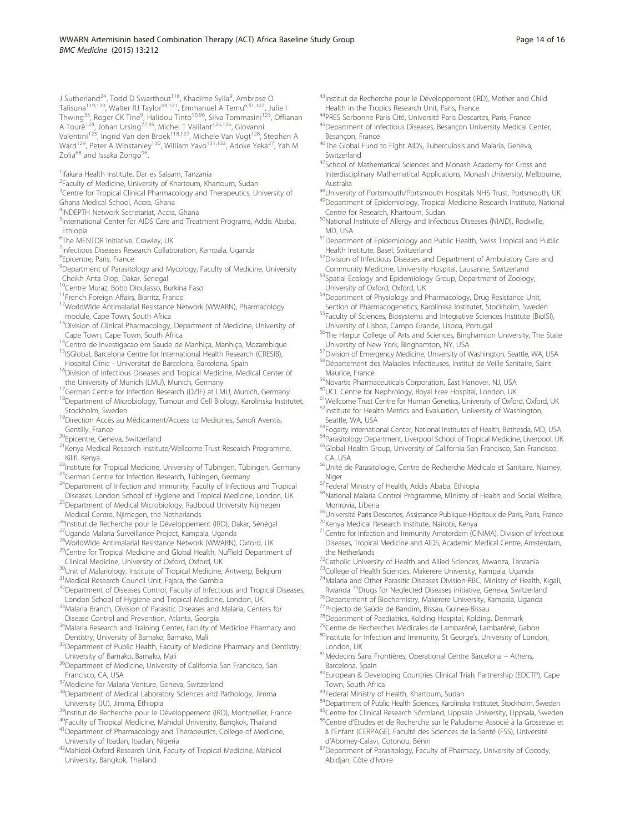J Sutherland<sup>24</sup>, Todd D Swarthout<sup>118</sup>, Khadime Sylla<sup>9</sup>, Ambrose O<br>Talisuna<sup>119,120</sup>, Walter RJ Taylor<sup>99,121</sup>, Emmanuel A Temu<sup>6,51,122</sup>, Julie I Thwing<sup>33</sup>, Roger CK Tine<sup>9</sup>, Halidou Tinto<sup>10,96</sup>, Silva Tommasini<sup>123</sup>, Offianan A Touré<sup>124</sup>, Johan Ursing<sup>77,95</sup>, Michel T Vaillant<sup>125,126</sup>, Giovanni Valentini<sup>123</sup>, Ingrid Van den Broek<sup>118,127</sup>, Michele Van Vugt<sup>128</sup>, Stephen A Ward<sup>129</sup>, Peter A Winstanley<sup>130</sup>, William Yavo<sup>131,132</sup>, Adoke Yeka<sup>27</sup>, Yah M Zolia<sup>68</sup> and Issaka Zongo<sup>96</sup>

<sup>1</sup> Ifakara Health Institute, Dar es Salaam, Tanzania

- <sup>2</sup> Faculty of Medicine, University of Khartoum, Khartoum, Sudan
- <sup>3</sup>Centre for Tropical Clinical Pharmacology and Therapeutics, University of Ghana Medical School, Accra, Ghana
- 4 INDEPTH Network Secretariat, Accra, Ghana
- 5 International Center for AIDS Care and Treatment Programs, Addis Ababa, Ethiopia
- 6 The MENTOR Initiative, Crawley, UK
- <sup>7</sup>Infectious Diseases Research Collaboration, Kampala, Uganda
- <sup>8</sup>Epicentre, Paris, France
- <sup>9</sup>Department of Parasitology and Mycology, Faculty of Medicine, University Cheikh Anta Diop, Dakar, Senegal
- 10Centre Muraz, Bobo Dioulasso, Burkina Faso
- 11French Foreign Affairs, Biarritz, France
- <sup>12</sup>WorldWide Antimalarial Resistance Network (WWARN), Pharmacology module, Cape Town, South Africa
- <sup>13</sup>Division of Clinical Pharmacology, Department of Medicine, University of Cape Town, Cape Town, South Africa
- <sup>14</sup>Centro de Investigacao em Saude de Manhiça, Manhiça, Mozambique 15ISGlobal, Barcelona Centre for International Health Research (CRESIB),
- Hospital Clínic Universitat de Barcelona, Barcelona, Spain <sup>16</sup>Division of Infectious Diseases and Tropical Medicine, Medical Center of
- the University of Munich (LMU), Munich, Germany
- <sup>17</sup>German Centre for Infection Research (DZIF) at LMU, Munich, Germany
- <sup>18</sup>Department of Microbiology, Tumour and Cell Biology, Karolinska Institutet, Stockholm, Sweden
- 19Direction Accès au Médicament/Access to Medicines, Sanofi Aventis, Gentilly, France
- <sup>20</sup>Epicentre, Geneva, Switzerland
- <sup>21</sup> Kenya Medical Research Institute/Wellcome Trust Research Programme, Kilifi, Kenya
- <sup>22</sup>Institute for Tropical Medicine, University of Tübingen, Tübingen, Germany <sup>23</sup>German Centre for Infection Research, Tübingen, Germany
- <sup>24</sup>Department of Infection and Immunity, Faculty of Infectious and Tropical Diseases, London School of Hygiene and Tropical Medicine, London, UK
- 25Department of Medical Microbiology, Radboud University Nijmegen Medical Centre, Njimegen, the Netherlands
- <sup>26</sup>Institut de Recherche pour le Développement (IRD), Dakar, Sénégal
- 27Uganda Malaria Surveillance Project, Kampala, Uganda
- 28WorldWide Antimalarial Resistance Network (WWARN), Oxford, UK
- <sup>29</sup>Centre for Tropical Medicine and Global Health, Nuffield Department of Clinical Medicine, University of Oxford, Oxford, UK
- <sup>30</sup>Unit of Malariology, Institute of Tropical Medicine, Antwerp, Belgium
- 31Medical Research Council Unit, Fajara, the Gambia
- 
- <sup>32</sup>Department of Diseases Control, Faculty of Infectious and Tropical Diseases, London School of Hygiene and Tropical Medicine, London, UK
- <sup>33</sup>Malaria Branch, Division of Parasitic Diseases and Malaria, Centers for Disease Control and Prevention, Atlanta, Georgia
- <sup>34</sup>Malaria Research and Training Center, Faculty of Medicine Pharmacy and Dentistry, University of Bamako, Bamako, Mali
- <sup>35</sup>Department of Public Health, Faculty of Medicine Pharmacy and Dentistry, University of Bamako, Bamako, Mali
- <sup>36</sup>Department of Medicine, University of California San Francisco, San Francisco, CA, USA
- <sup>37</sup>Medicine for Malaria Venture, Geneva, Switzerland
- <sup>38</sup>Department of Medical Laboratory Sciences and Pathology, Jimma University (JU), Jimma, Ethiopia
- <sup>39</sup>Institut de Recherche pour le Développement (IRD), Montpellier, France
- <sup>0</sup>Faculty of Tropical Medicine, Mahidol University, Bangkok, Thailand
- 41Department of Pharmacology and Therapeutics, College of Medicine, University of Ibadan, Ibadan, Nigeria
- 42Mahidol-Oxford Research Unit, Faculty of Tropical Medicine, Mahidol University, Bangkok, Thailand
- 43Institut de Recherche pour le Développement (IRD), Mother and Child Health in the Tropics Research Unit, Paris, France
- 44PRES Sorbonne Paris Cité, Université Paris Descartes, Paris, France
- 45Department of Infectious Diseases, Besançon University Medical Center, Besançon, France
- 46The Global Fund to Fight AIDS, Tuberculosis and Malaria, Geneva, Switzerland
- 47School of Mathematical Sciences and Monash Academy for Cross and Interdisciplinary Mathematical Applications, Monash University, Melbourne, Australia
- 48University of Portsmouth/Portsmouth Hospitals NHS Trust, Portsmouth, UK 49Department of Epidemiology, Tropical Medicine Research Institute, National Centre for Research, Khartoum, Sudan
- <sup>50</sup>National Institute of Allergy and Infectious Diseases (NIAID), Rockville, MD, USA
- 51Department of Epidemiology and Public Health, Swiss Tropical and Public Health Institute, Basel, Switzerland
- <sup>52</sup>Division of Infectious Diseases and Department of Ambulatory Care and Community Medicine, University Hospital, Lausanne, Switzerland
- 53Spatial Ecology and Epidemiology Group, Department of Zoology, University of Oxford, Oxford, UK
- 54Department of Physiology and Pharmacology, Drug Resistance Unit, Section of Pharmacogenetics, Karolinska Institutet, Stockholm, Sweden
- 55Faculty of Sciences, Biosystems and Integrative Sciences Institute (BioISI), University of Lisboa, Campo Grande, Lisboa, Portugal
- <sup>56</sup>The Harpur College of Arts and Sciences, Binghamton University, The State University of New York, Binghamton, NY, USA
- 57Division of Emergency Medicine, University of Washington, Seattle, WA, USA 58Département des Maladies Infectieuses, Institut de Veille Sanitaire, Saint Maurice, France
- 59Novartis Pharmaceuticals Corporation, East Hanover, NJ, USA
- 60UCL Centre for Nephrology, Royal Free Hospital, London, UK
- 61Wellcome Trust Centre for Human Genetics, University of Oxford, Oxford, UK <sup>62</sup>Institute for Health Metrics and Evaluation, University of Washington,
- Seattle, WA, USA
- $^{63}$ Fogarty International Center, National Institutes of Health, Bethesda, MD, USA
- 64Parasitology Department, Liverpool School of Tropical Medicine, Liverpool, UK
- <sup>65</sup>Global Health Group, University of California San Francisco, San Francisco, CA, USA
- 66Unité de Parasitologie, Centre de Recherche Médicale et Sanitaire, Niamey, Niger
- 67Federal Ministry of Health, Addis Ababa, Ethiopia
- <sup>68</sup>National Malaria Control Programme, Ministry of Health and Social Welfare, Monrovia, Liberia
- 69Université Paris Descartes, Assistance Publique-Hôpitaux de Paris, Paris, France <sup>70</sup>Kenya Medical Research Institute, Nairobi, Kenya
- 71Centre for Infection and Immunity Amsterdam (CINIMA), Division of Infectious Diseases, Tropical Medicine and AIDS, Academic Medical Centre, Amsterdam, the Netherlands
- <sup>72</sup>Catholic University of Health and Allied Sciences, Mwanza, Tanzania
- 73College of Health Sciences, Makerere University, Kampala, Uganda
- <sup>74</sup>Malaria and Other Parasitic Diseases Division-RBC, Ministry of Health, Kigali, Rwanda <sup>75</sup>Drugs for Neglected Diseases initiative, Geneva, Switzerland<br><sup>76</sup>Departement of Biochemistry, Makerere University, Kampala, Uganda
- 77Projecto de Saúde de Bandim, Bissau, Guinea-Bissau
- <sup>78</sup>Department of Paediatrics, Kolding Hospital, Kolding, Denmark
- <sup>79</sup>Centre de Recherches Médicales de Lambaréné, Lambaréné, Gabon
- $80$ Institute for Infection and Immunity, St George's, University of London, London, UK
- 81Médecins Sans Frontières, Operational Centre Barcelona Athens, Barcelona, Spain
- 82European & Developing Countries Clinical Trials Partnership (EDCTP), Cape Town, South Africa
- 83Federal Ministry of Health, Khartoum, Sudan
- 84Department of Public Health Sciences, Karolinska Institutet, Stockholm, Sweden
- 85Centre for Clinical Research Sörmland, Uppsala University, Uppsala, Sweden 86Centre d'Etudes et de Recherche sur le Paludisme Associé à la Grossesse et
- à l'Enfant (CERPAGE), Faculté des Sciences de la Santé (FSS), Université
- d'Abomey-Calavi, Cotonou, Bénin<br><sup>87</sup>Department of Parasitology, Faculty of Pharmacy, University of Cocody, Abidjan, Côte d'Ivoire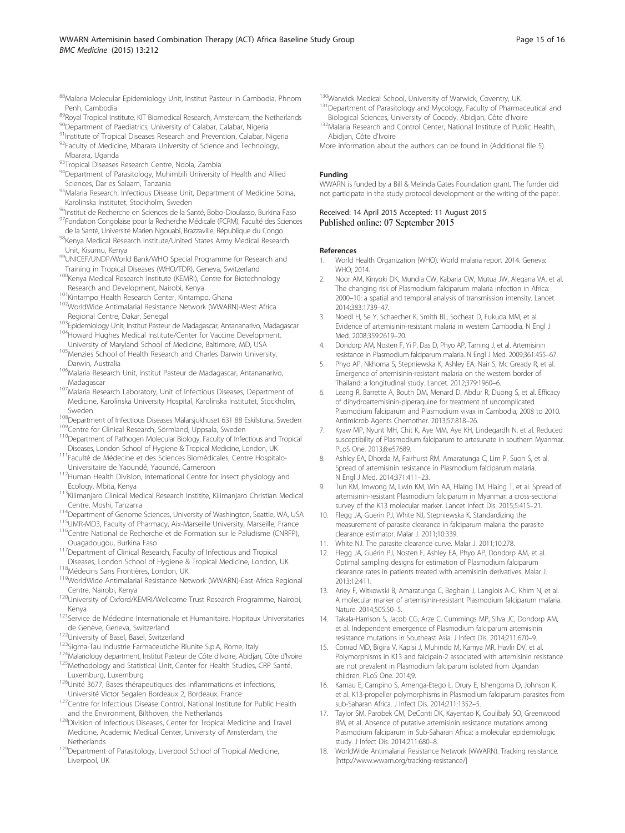- <span id="page-14-0"></span>88Malaria Molecular Epidemiology Unit, Institut Pasteur in Cambodia, Phnom Penh, Cambodia
- 89Royal Tropical Institute, KIT Biomedical Research, Amsterdam, the Netherlands 90 Department of Paediatrics, University of Calabar, Calabar, Nigeria
- 91Institute of Tropical Diseases Research and Prevention, Calabar, Nigeria 92Faculty of Medicine, Mbarara University of Science and Technology,
- Mbarara, Uganda 93Tropical Diseases Research Centre, Ndola, Zambia
- 94 Department of Parasitology, Muhimbili University of Health and Allied Sciences, Dar es Salaam, Tanzania
- 95 Malaria Research, Infectious Disease Unit, Department of Medicine Solna, Karolinska Institutet, Stockholm, Sweden
- 96Institut de Recherche en Sciences de la Santé, Bobo-Dioulasso, Burkina Faso 97Fondation Congolaise pour la Recherche Médicale (FCRM), Faculté des Sciences
- de la Santé, Université Marien Ngouabi, Brazzaville, République du Congo 98Kenya Medical Research Institute/United States Army Medical Research Unit, Kisumu, Kenya
- 99UNICEF/UNDP/World Bank/WHO Special Programme for Research and Training in Tropical Diseases (WHO/TDR), Geneva, Switzerland
- 100Kenya Medical Research Institute (KEMRI), Centre for Biotechnology
- 
- Research and Development, Nairobi, Kenya<br><sup>101</sup>Kintampo Health Research Center, Kintampo, Ghana<br><sup>102</sup>WorldWide Antimalarial Resistance Network (WWARN)-West Africa
- Regional Centre, Dakar, Senegal<br><sup>103</sup>Epidemiology Unit, Institut Pasteur de Madagascar, Antananarivo, Madagascar<br><sup>104</sup>Howard Hughes Medical Institute/Center for Vaccine Development,
- University of Maryland School of Medicine, Baltimore, MD, USA 105Menzies School of Health Research and Charles Darwin University,
- Darwin, Australia<br><sup>106</sup>Malaria Research Unit, Institut Pasteur de Madagascar, Antananarivo,
- Madagascar<br><sup>107</sup>Malaria Research Laboratory, Unit of Infectious Diseases, Department of Medicine, Karolinska University Hospital, Karolinska Institutet, Stockholm,
- 
- Sweden<br><sup>108</sup>Department of Infectious Diseases Mälarsjukhuset 631 88 Eskilstuna, Sweden<br><sup>109</sup>Centre for Clinical Research, Sörmland, Uppsala, Sweden<br><sup>110</sup>Department of Pathogen Molecular Biology, Faculty of Infectious and T
- Diseases, London School of Hygiene & Tropical Medicine, London, UK<br><sup>111</sup>Faculté de Médecine et des Sciences Biomédicales, Centre Hospitalo-<br>Universitaire de Yaoundé, Yaoundé, Cameroon
- $112$ Human Health Division, International Centre for insect physiology and
- Ecology, Mbita, Kenya<br><sup>113</sup>Kilimanjaro Clinical Medical Research Institite, Kilimanjaro Christian Medical
- 
- Centre, Moshi, Tanzania<br><sup>114</sup>Department of Genome Sciences, University of Washington, Seattle, WA, USA<br><sup>115</sup>UMR-MD3, Faculty of Pharmacy, Aix-Marseille University, Marseille, France<br><sup>116</sup>Centre National de Recherche et de
- 
- Ouagadougou, Burkina Faso 117Department of Clinical Research, Faculty of Infectious and Tropical
- Diseases, London School of Hygiene & Tropical Medicine, London, UK<br><sup>118</sup>Médecins Sans Frontières, London, UK<br><sup>119</sup>WorldWide Antimalarial Resistance Network (WWARN)-East Africa Regional
- 
- Centre, Nairobi, Kenya<br><sup>120</sup>University of Oxford/KEMRI/Wellcome Trust Research Programme, Nairobi,
- Kenya<br><sup>121</sup>Service de Médecine Internationale et Humanitaire, Hopitaux Universitaries
- 
- 
- de Genève, Geneva, Switzerland<br><sup>122</sup>University of Basel, Basel, Switzerland<br><sup>122</sup>Sigma-Tau Industrie Farmaceutiche Riunite S.p.A, Rome, Italy<br><sup>123</sup>Kigma-Tau Industrie Farmaceutiche Riunite S.p.A, Rome, Italy<br><sup>124</sup>Malariolo
- Luxemburg, Luxemburg<br><sup>126</sup>Unité 3677, Bases thérapeutiques des inflammations et infections,
- Université Victor Segalen Bordeaux 2, Bordeaux, France
- 127 Centre for Infectious Disease Control, National Institute for Public Health and the Environment, Bilthoven, the Netherlands<br><sup>128</sup>Division of Infectious Diseases, Center for Tropical Medicine and Travel
- Medicine, Academic Medical Center, University of Amsterdam, the
- Netherlands<br><sup>129</sup>Department of Parasitology, Liverpool School of Tropical Medicine, Liverpool, UK
- 
- <sup>130</sup>Warwick Medical School, University of Warwick, Coventry, UK<br><sup>131</sup>Department of Parasitology and Mycology, Faculty of Pharmaceutical and Biological Sciences, University of Cocody, Abidjan, Côte d'Ivoire<br><sup>132</sup>Malaria Research and Control Center, National Institute of Public Health,
- Abidjan, Côte d'Ivoire
- More information about the authors can be found in (Additional file [5\)](#page-12-0).

#### Funding

WWARN is funded by a Bill & Melinda Gates Foundation grant. The funder did not participate in the study protocol development or the writing of the paper.

# Received: 14 April 2015 Accepted: 11 August 2015<br>Published online: 07 September 2015

#### References

- 1. World Health Organization (WHO). World malaria report 2014. Geneva: WHO; 2014.
- 2. Noor AM, Kinyoki DK, Mundia CW, Kabaria CW, Mutua JW, Alegana VA, et al. The changing risk of Plasmodium falciparum malaria infection in Africa: 2000–10: a spatial and temporal analysis of transmission intensity. Lancet. 2014;383:1739–47.
- 3. Noedl H, Se Y, Schaecher K, Smith BL, Socheat D, Fukuda MM, et al. Evidence of artemisinin-resistant malaria in western Cambodia. N Engl J Med. 2008;359:2619–20.
- 4. Dondorp AM, Nosten F, Yi P, Das D, Phyo AP, Tarning J, et al. Artemisinin resistance in Plasmodium falciparum malaria. N Engl J Med. 2009;361:455–67.
- 5. Phyo AP, Nkhoma S, Stepniewska K, Ashley EA, Nair S, Mc Gready R, et al. Emergence of artemisinin-resistant malaria on the western border of Thailand: a longitudinal study. Lancet. 2012;379:1960–6.
- 6. Leang R, Barrette A, Bouth DM, Menard D, Abdur R, Duong S, et al. Efficacy of dihydroartemisinin-piperaquine for treatment of uncomplicated Plasmodium falciparum and Plasmodium vivax in Cambodia, 2008 to 2010. Antimicrob Agents Chemother. 2013;57:818–26.
- 7. Kyaw MP, Nyunt MH, Chit K, Aye MM, Aye KH, Lindegardh N, et al. Reduced susceptibility of Plasmodium falciparum to artesunate in southern Myanmar. PLoS One. 2013;8:e57689.
- 8. Ashley EA, Dhorda M, Fairhurst RM, Amaratunga C, Lim P, Suon S, et al. Spread of artemisinin resistance in Plasmodium falciparum malaria. N Engl J Med. 2014;371:411–23.
- 9. Tun KM, Imwong M, Lwin KM, Win AA, Hlaing TM, Hlaing T, et al. Spread of artemisinin-resistant Plasmodium falciparum in Myanmar: a cross-sectional survey of the K13 molecular marker. Lancet Infect Dis. 2015;5:415–21.
- 10. Flegg JA, Guerin PJ, White NJ, Stepniewska K. Standardizing the measurement of parasite clearance in falciparum malaria: the parasite clearance estimator. Malar J. 2011;10:339.
- 11. White NJ. The parasite clearance curve. Malar J. 2011;10:278.
- 12. Flegg JA, Guérin PJ, Nosten F, Ashley EA, Phyo AP, Dondorp AM, et al. Optimal sampling designs for estimation of Plasmodium falciparum clearance rates in patients treated with artemisinin derivatives. Malar J. 2013;12:411.
- 13. Ariey F, Witkowski B, Amaratunga C, Beghain J, Langlois A-C, Khim N, et al. A molecular marker of artemisinin-resistant Plasmodium falciparum malaria. Nature. 2014;505:50–5.
- 14. Takala-Harrison S, Jacob CG, Arze C, Cummings MP, Silva JC, Dondorp AM, et al. Independent emergence of Plasmodium falciparum artemisinin resistance mutations in Southeast Asia. J Infect Dis. 2014;211:670–9.
- 15. Conrad MD, Bigira V, Kapisi J, Muhindo M, Kamya MR, Havlir DV, et al. Polymorphisms in K13 and falcipain-2 associated with artemisinin resistance are not prevalent in Plasmodium falciparum isolated from Ugandan children. PLoS One. 2014;9.
- 16. Kamau E, Campino S, Amenga-Etego L, Drury E, Ishengoma D, Johnson K, et al. K13-propeller polymorphisms in Plasmodium falciparum parasites from sub-Saharan Africa. J Infect Dis. 2014;211:1352–5.
- 17. Taylor SM, Parobek CM, DeConti DK, Kayentao K, Coulibaly SO, Greenwood BM, et al. Absence of putative artemisinin resistance mutations among Plasmodium falciparum in Sub-Saharan Africa: a molecular epidemiologic study. J Infect Dis. 2014;211:680–8.
- 18. WorldWide Antimalarial Resistance Network (WWARN). Tracking resistance. [[http://www.wwarn.org/tracking-resistance/\]](http://www.wwarn.org/tracking-resistance/)